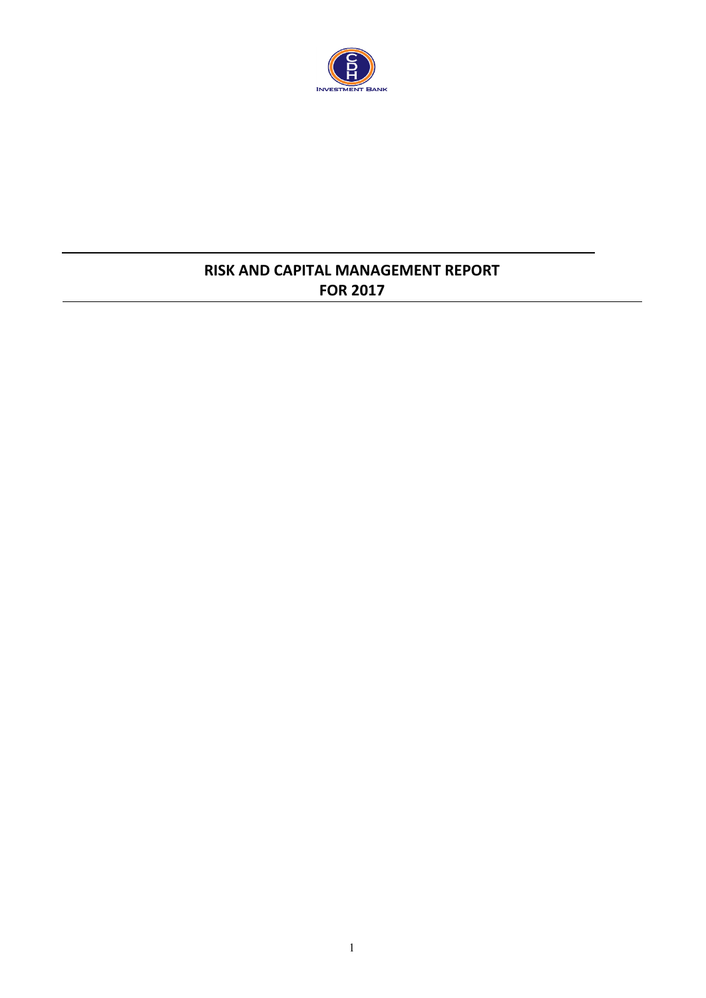

# **RISK AND CAPITAL MANAGEMENT REPORT FOR 2017**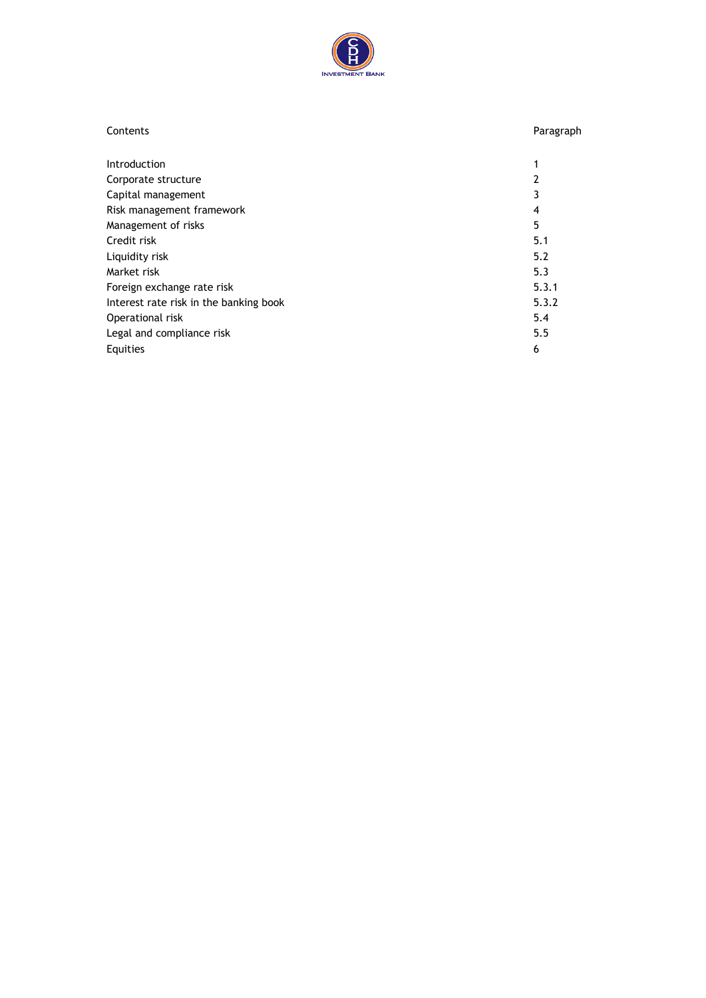

| Contents                               | Paragraph |
|----------------------------------------|-----------|
| <b>Introduction</b>                    | 1         |
| Corporate structure                    | 2         |
| Capital management                     | 3         |
| Risk management framework              | 4         |
| Management of risks                    | 5         |
| Credit risk                            | 5.1       |
| Liquidity risk                         | 5.2       |
| Market risk                            | 5.3       |
| Foreign exchange rate risk             | 5.3.1     |
| Interest rate risk in the banking book | 5.3.2     |
| Operational risk                       | 5.4       |
| Legal and compliance risk              | 5.5       |
| Equities                               | 6         |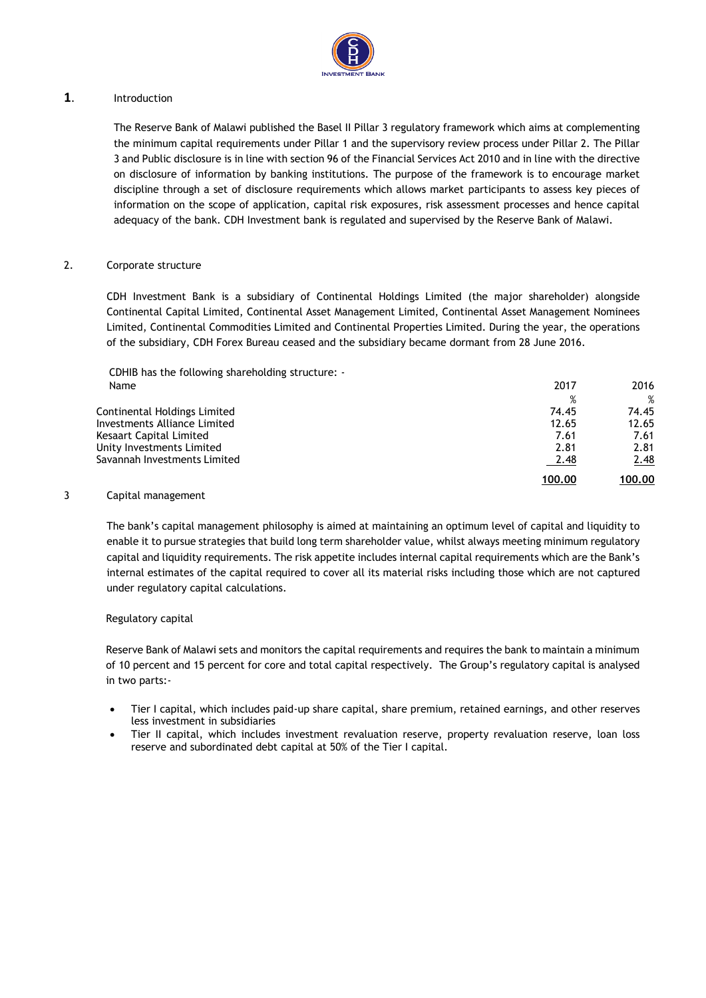

#### **1**. Introduction

The Reserve Bank of Malawi published the Basel II Pillar 3 regulatory framework which aims at complementing the minimum capital requirements under Pillar 1 and the supervisory review process under Pillar 2. The Pillar 3 and Public disclosure is in line with section 96 of the Financial Services Act 2010 and in line with the directive on disclosure of information by banking institutions. The purpose of the framework is to encourage market discipline through a set of disclosure requirements which allows market participants to assess key pieces of information on the scope of application, capital risk exposures, risk assessment processes and hence capital adequacy of the bank. CDH Investment bank is regulated and supervised by the Reserve Bank of Malawi.

#### 2. Corporate structure

CDH Investment Bank is a subsidiary of Continental Holdings Limited (the major shareholder) alongside Continental Capital Limited, Continental Asset Management Limited, Continental Asset Management Nominees Limited, Continental Commodities Limited and Continental Properties Limited. During the year, the operations of the subsidiary, CDH Forex Bureau ceased and the subsidiary became dormant from 28 June 2016.

CDHIB has the following shareholding structure: -

|                              | 100.00 | 100.00 |
|------------------------------|--------|--------|
| Savannah Investments Limited | 2.48   | 2.48   |
| Unity Investments Limited    | 2.81   | 2.81   |
| Kesaart Capital Limited      | 7.61   | 7.61   |
| Investments Alliance Limited | 12.65  | 12.65  |
| Continental Holdings Limited | 74.45  | 74.45  |
|                              | %      | %      |
| Name                         | 2017   | 2016   |

#### 3 Capital management

The bank's capital management philosophy is aimed at maintaining an optimum level of capital and liquidity to enable it to pursue strategies that build long term shareholder value, whilst always meeting minimum regulatory capital and liquidity requirements. The risk appetite includes internal capital requirements which are the Bank's internal estimates of the capital required to cover all its material risks including those which are not captured under regulatory capital calculations.

#### Regulatory capital

Reserve Bank of Malawi sets and monitors the capital requirements and requires the bank to maintain a minimum of 10 percent and 15 percent for core and total capital respectively. The Group's regulatory capital is analysed in two parts:-

- Tier I capital, which includes paid-up share capital, share premium, retained earnings, and other reserves less investment in subsidiaries
- Tier II capital, which includes investment revaluation reserve, property revaluation reserve, loan loss reserve and subordinated debt capital at 50% of the Tier I capital.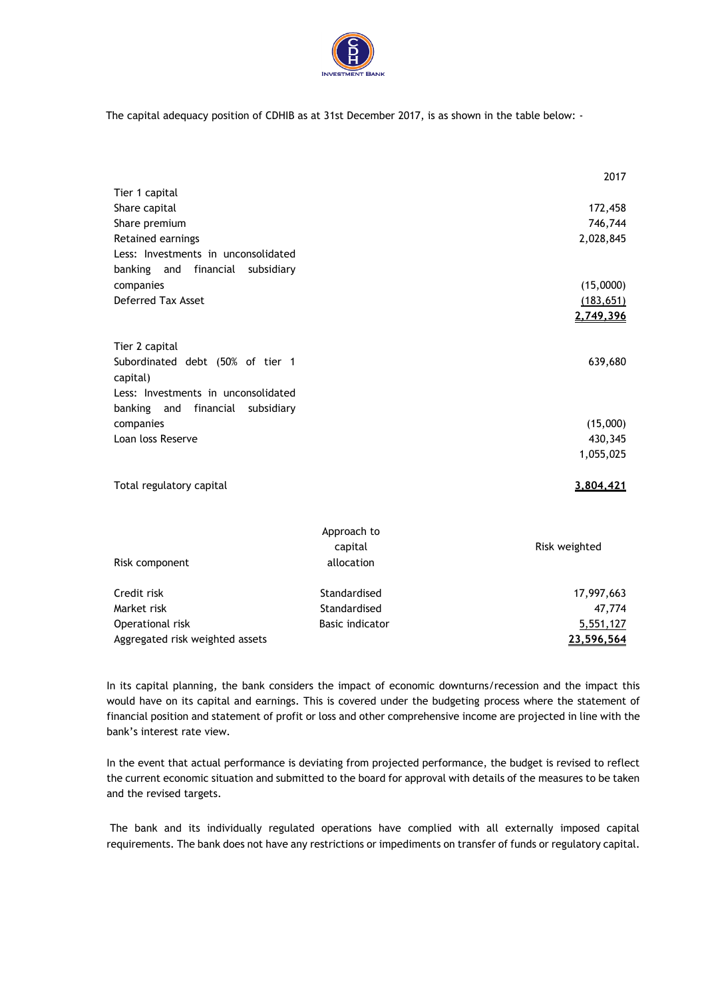

The capital adequacy position of CDHIB as at 31st December 2017, is as shown in the table below: -

|                                        |                        | 2017          |
|----------------------------------------|------------------------|---------------|
| Tier 1 capital                         |                        |               |
| Share capital                          |                        | 172,458       |
| Share premium                          |                        | 746,744       |
| Retained earnings                      |                        | 2,028,845     |
| Less: Investments in unconsolidated    |                        |               |
| banking and<br>financial<br>subsidiary |                        |               |
| companies                              |                        | (15,0000)     |
| <b>Deferred Tax Asset</b>              |                        | (183, 651)    |
|                                        |                        | 2,749,396     |
| Tier 2 capital                         |                        |               |
| Subordinated debt (50% of tier 1       |                        | 639,680       |
| capital)                               |                        |               |
| Less: Investments in unconsolidated    |                        |               |
| banking and financial subsidiary       |                        |               |
| companies                              |                        | (15,000)      |
| Loan loss Reserve                      |                        | 430,345       |
|                                        |                        | 1,055,025     |
| Total regulatory capital               |                        | 3,804,421     |
|                                        |                        |               |
|                                        | Approach to            |               |
|                                        | capital                | Risk weighted |
| Risk component                         | allocation             |               |
| Credit risk                            | Standardised           | 17,997,663    |
| Market risk                            | Standardised           | 47,774        |
| Operational risk                       | <b>Basic indicator</b> | 5,551,127     |
| Aggregated risk weighted assets        |                        | 23,596,564    |

In its capital planning, the bank considers the impact of economic downturns/recession and the impact this would have on its capital and earnings. This is covered under the budgeting process where the statement of financial position and statement of profit or loss and other comprehensive income are projected in line with the bank's interest rate view.

In the event that actual performance is deviating from projected performance, the budget is revised to reflect the current economic situation and submitted to the board for approval with details of the measures to be taken and the revised targets.

The bank and its individually regulated operations have complied with all externally imposed capital requirements. The bank does not have any restrictions or impediments on transfer of funds or regulatory capital.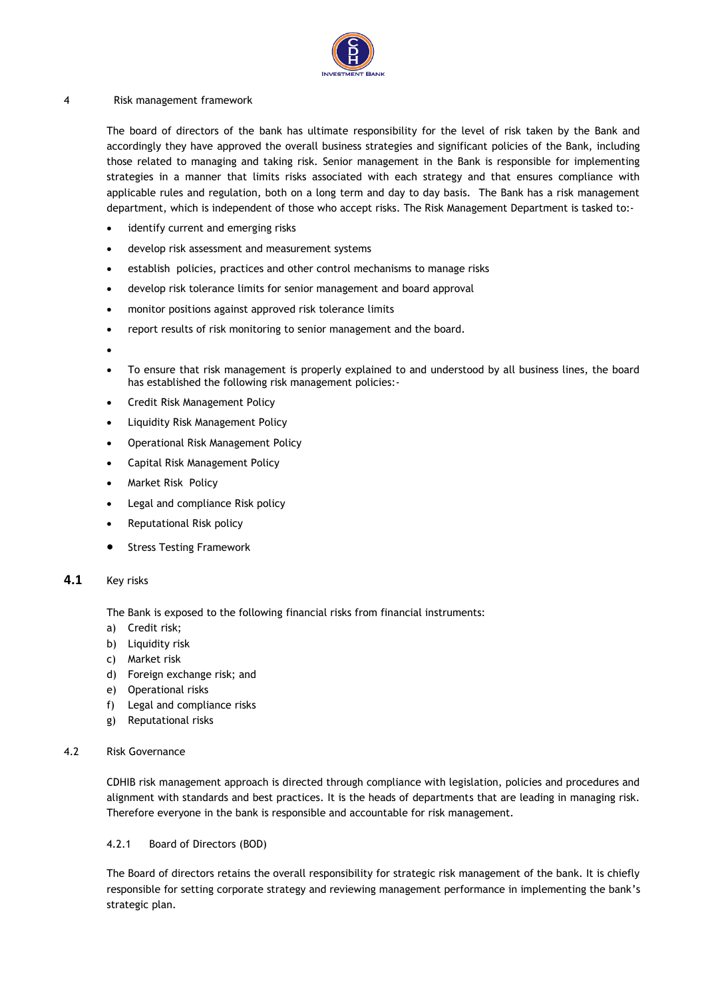

#### 4 Risk management framework

The board of directors of the bank has ultimate responsibility for the level of risk taken by the Bank and accordingly they have approved the overall business strategies and significant policies of the Bank, including those related to managing and taking risk. Senior management in the Bank is responsible for implementing strategies in a manner that limits risks associated with each strategy and that ensures compliance with applicable rules and regulation, both on a long term and day to day basis. The Bank has a risk management department, which is independent of those who accept risks. The Risk Management Department is tasked to:-

- identify current and emerging risks
- develop risk assessment and measurement systems
- establish policies, practices and other control mechanisms to manage risks
- develop risk tolerance limits for senior management and board approval
- monitor positions against approved risk tolerance limits
- report results of risk monitoring to senior management and the board.
- •
- To ensure that risk management is properly explained to and understood by all business lines, the board has established the following risk management policies:-
- Credit Risk Management Policy
- Liquidity Risk Management Policy
- Operational Risk Management Policy
- Capital Risk Management Policy
- Market Risk Policy
- Legal and compliance Risk policy
- Reputational Risk policy
- **Stress Testing Framework**

#### **4.1** Key risks

The Bank is exposed to the following financial risks from financial instruments:

- a) Credit risk;
- b) Liquidity risk
- c) Market risk
- d) Foreign exchange risk; and
- e) Operational risks
- f) Legal and compliance risks
- g) Reputational risks
- 4.2 Risk Governance

CDHIB risk management approach is directed through compliance with legislation, policies and procedures and alignment with standards and best practices. It is the heads of departments that are leading in managing risk. Therefore everyone in the bank is responsible and accountable for risk management.

#### 4.2.1 Board of Directors (BOD)

The Board of directors retains the overall responsibility for strategic risk management of the bank. It is chiefly responsible for setting corporate strategy and reviewing management performance in implementing the bank's strategic plan.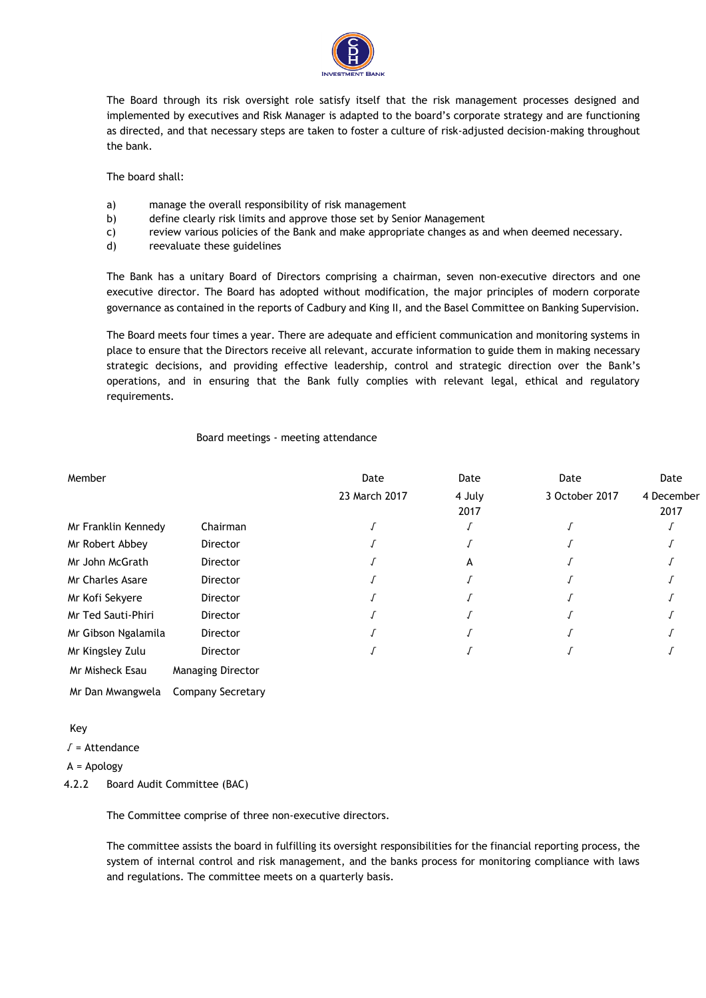

The Board through its risk oversight role satisfy itself that the risk management processes designed and implemented by executives and Risk Manager is adapted to the board's corporate strategy and are functioning as directed, and that necessary steps are taken to foster a culture of risk-adjusted decision-making throughout the bank.

The board shall:

- a) manage the overall responsibility of risk management
- b) define clearly risk limits and approve those set by Senior Management
- c) review various policies of the Bank and make appropriate changes as and when deemed necessary.
- d) reevaluate these guidelines

The Bank has a unitary Board of Directors comprising a chairman, seven non-executive directors and one executive director. The Board has adopted without modification, the major principles of modern corporate governance as contained in the reports of Cadbury and King II, and the Basel Committee on Banking Supervision.

The Board meets four times a year. There are adequate and efficient communication and monitoring systems in place to ensure that the Directors receive all relevant, accurate information to guide them in making necessary strategic decisions, and providing effective leadership, control and strategic direction over the Bank's operations, and in ensuring that the Bank fully complies with relevant legal, ethical and regulatory requirements.

#### Board meetings - meeting attendance

| Member                  |                          | Date          | Date           | Date           | Date               |
|-------------------------|--------------------------|---------------|----------------|----------------|--------------------|
|                         |                          | 23 March 2017 | 4 July<br>2017 | 3 October 2017 | 4 December<br>2017 |
| Mr Franklin Kennedy     | Chairman                 |               |                |                |                    |
| Mr Robert Abbey         | Director                 |               |                |                |                    |
| Mr John McGrath         | <b>Director</b>          |               | А              |                |                    |
| <b>Mr Charles Asare</b> | <b>Director</b>          |               |                |                |                    |
| Mr Kofi Sekyere         | Director                 |               |                |                |                    |
| Mr Ted Sauti-Phiri      | Director                 |               |                |                |                    |
| Mr Gibson Ngalamila     | Director                 |               |                |                |                    |
| Mr Kingsley Zulu        | <b>Director</b>          |               |                |                |                    |
| Mr Misheck Esau         | <b>Managing Director</b> |               |                |                |                    |

Mr Dan Mwangwela Company Secretary

#### Key

√ = Attendance

#### A = Apology

4.2.2 Board Audit Committee (BAC)

The Committee comprise of three non-executive directors.

The committee assists the board in fulfilling its oversight responsibilities for the financial reporting process, the system of internal control and risk management, and the banks process for monitoring compliance with laws and regulations. The committee meets on a quarterly basis.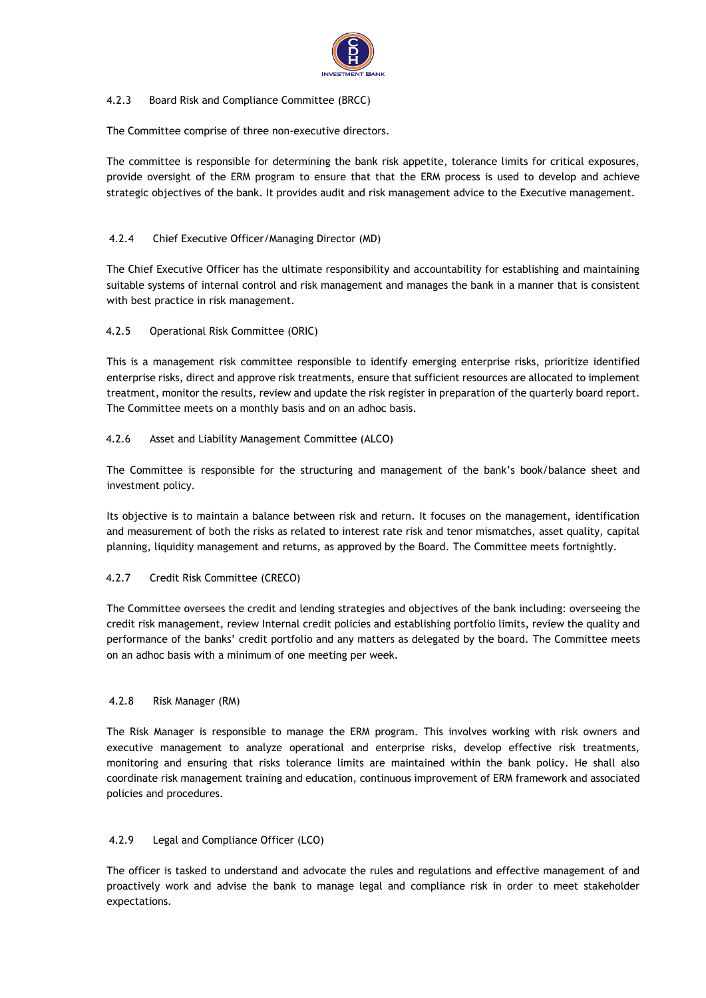

#### 4.2.3 Board Risk and Compliance Committee (BRCC)

The Committee comprise of three non-executive directors.

The committee is responsible for determining the bank risk appetite, tolerance limits for critical exposures, provide oversight of the ERM program to ensure that that the ERM process is used to develop and achieve strategic objectives of the bank. It provides audit and risk management advice to the Executive management.

## 4.2.4 Chief Executive Officer/Managing Director (MD)

The Chief Executive Officer has the ultimate responsibility and accountability for establishing and maintaining suitable systems of internal control and risk management and manages the bank in a manner that is consistent with best practice in risk management.

### 4.2.5 Operational Risk Committee (ORIC)

This is a management risk committee responsible to identify emerging enterprise risks, prioritize identified enterprise risks, direct and approve risk treatments, ensure that sufficient resources are allocated to implement treatment, monitor the results, review and update the risk register in preparation of the quarterly board report. The Committee meets on a monthly basis and on an adhoc basis.

### 4.2.6 Asset and Liability Management Committee (ALCO)

The Committee is responsible for the structuring and management of the bank's book/balance sheet and investment policy.

Its objective is to maintain a balance between risk and return. It focuses on the management, identification and measurement of both the risks as related to interest rate risk and tenor mismatches, asset quality, capital planning, liquidity management and returns, as approved by the Board. The Committee meets fortnightly.

### 4.2.7 Credit Risk Committee (CRECO)

The Committee oversees the credit and lending strategies and objectives of the bank including: overseeing the credit risk management, review Internal credit policies and establishing portfolio limits, review the quality and performance of the banks' credit portfolio and any matters as delegated by the board. The Committee meets on an adhoc basis with a minimum of one meeting per week.

### 4.2.8 Risk Manager (RM)

The Risk Manager is responsible to manage the ERM program. This involves working with risk owners and executive management to analyze operational and enterprise risks, develop effective risk treatments, monitoring and ensuring that risks tolerance limits are maintained within the bank policy. He shall also coordinate risk management training and education, continuous improvement of ERM framework and associated policies and procedures.

## 4.2.9 Legal and Compliance Officer (LCO)

The officer is tasked to understand and advocate the rules and regulations and effective management of and proactively work and advise the bank to manage legal and compliance risk in order to meet stakeholder expectations.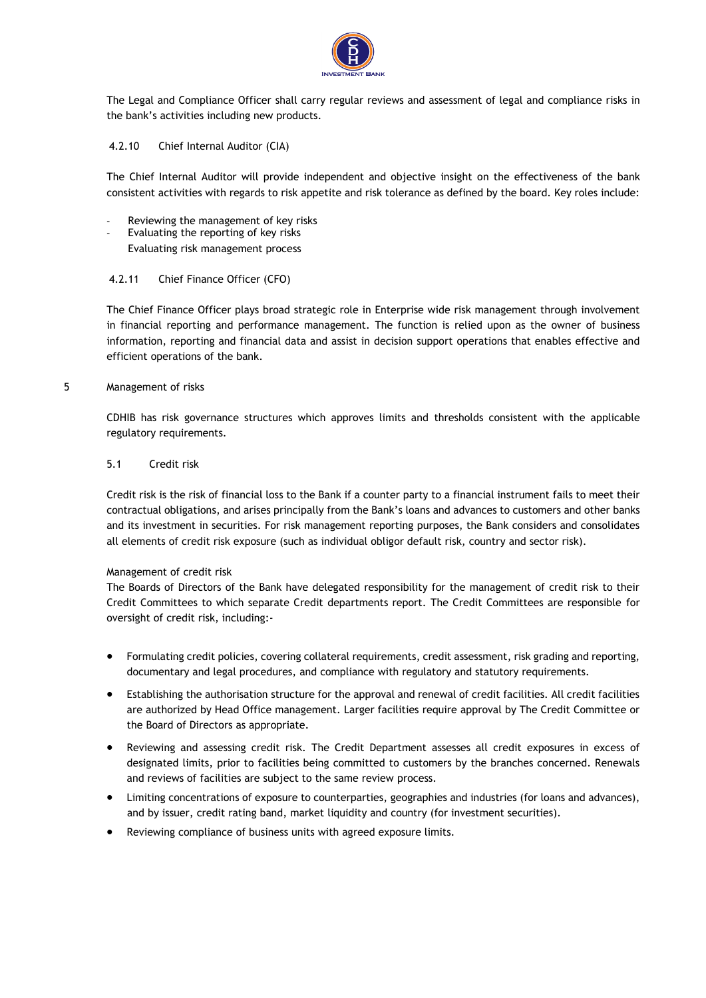

The Legal and Compliance Officer shall carry regular reviews and assessment of legal and compliance risks in the bank's activities including new products.

#### 4.2.10 Chief Internal Auditor (CIA)

The Chief Internal Auditor will provide independent and objective insight on the effectiveness of the bank consistent activities with regards to risk appetite and risk tolerance as defined by the board. Key roles include:

- Reviewing the management of key risks
- Evaluating the reporting of key risks
	- Evaluating risk management process

#### 4.2.11 Chief Finance Officer (CFO)

The Chief Finance Officer plays broad strategic role in Enterprise wide risk management through involvement in financial reporting and performance management. The function is relied upon as the owner of business information, reporting and financial data and assist in decision support operations that enables effective and efficient operations of the bank.

#### 5 Management of risks

CDHIB has risk governance structures which approves limits and thresholds consistent with the applicable regulatory requirements.

#### 5.1 Credit risk

Credit risk is the risk of financial loss to the Bank if a counter party to a financial instrument fails to meet their contractual obligations, and arises principally from the Bank's loans and advances to customers and other banks and its investment in securities. For risk management reporting purposes, the Bank considers and consolidates all elements of credit risk exposure (such as individual obligor default risk, country and sector risk).

#### Management of credit risk

The Boards of Directors of the Bank have delegated responsibility for the management of credit risk to their Credit Committees to which separate Credit departments report. The Credit Committees are responsible for oversight of credit risk, including:-

- Formulating credit policies, covering collateral requirements, credit assessment, risk grading and reporting, documentary and legal procedures, and compliance with regulatory and statutory requirements.
- Establishing the authorisation structure for the approval and renewal of credit facilities. All credit facilities are authorized by Head Office management. Larger facilities require approval by The Credit Committee or the Board of Directors as appropriate.
- Reviewing and assessing credit risk. The Credit Department assesses all credit exposures in excess of designated limits, prior to facilities being committed to customers by the branches concerned. Renewals and reviews of facilities are subject to the same review process.
- Limiting concentrations of exposure to counterparties, geographies and industries (for loans and advances), and by issuer, credit rating band, market liquidity and country (for investment securities).
- Reviewing compliance of business units with agreed exposure limits.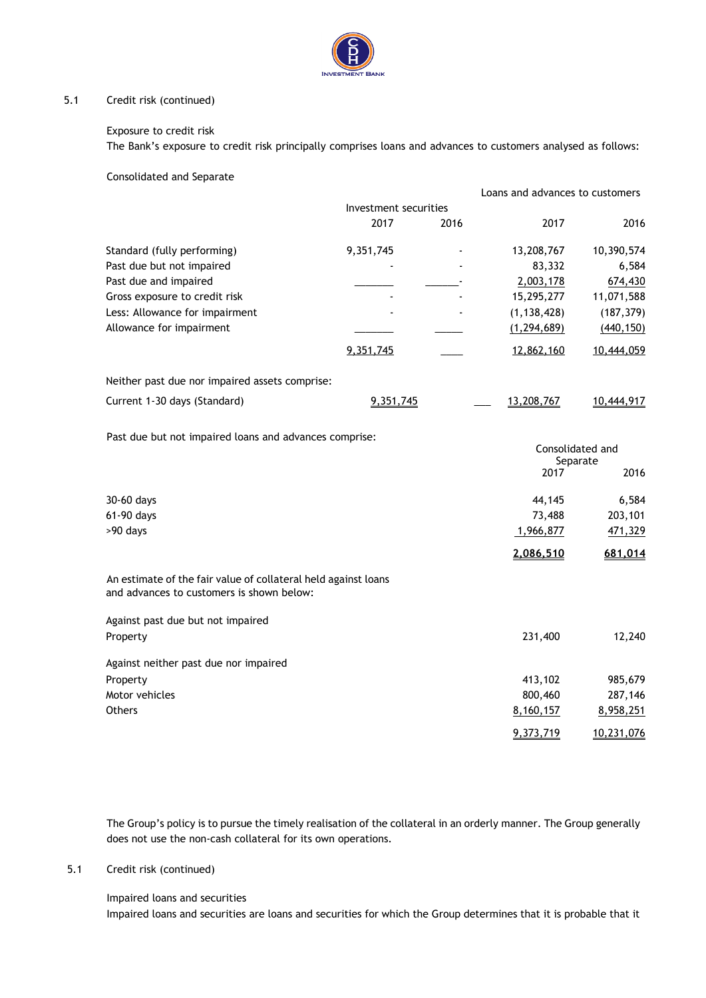

#### 5.1 Credit risk (continued)

#### Exposure to credit risk

The Bank's exposure to credit risk principally comprises loans and advances to customers analysed as follows:

Consolidated and Separate

|                                                                                                             |                       |      | Loans and advances to customers |                  |
|-------------------------------------------------------------------------------------------------------------|-----------------------|------|---------------------------------|------------------|
|                                                                                                             | Investment securities |      |                                 |                  |
|                                                                                                             | 2017                  | 2016 | 2017                            | 2016             |
| Standard (fully performing)                                                                                 | 9,351,745             |      | 13,208,767                      | 10,390,574       |
| Past due but not impaired                                                                                   |                       |      | 83,332                          | 6,584            |
| Past due and impaired                                                                                       |                       |      | 2,003,178                       | 674,430          |
| Gross exposure to credit risk                                                                               |                       |      | 15,295,277                      | 11,071,588       |
| Less: Allowance for impairment                                                                              |                       |      | (1, 138, 428)                   | (187, 379)       |
| Allowance for impairment                                                                                    |                       |      | (1, 294, 689)                   | (440, 150)       |
|                                                                                                             | 9,351,745             |      | 12,862,160                      | 10,444,059       |
| Neither past due nor impaired assets comprise:                                                              |                       |      |                                 |                  |
| Current 1-30 days (Standard)                                                                                | 9,351,745             |      | 13,208,767                      | 10,444,917       |
| Past due but not impaired loans and advances comprise:                                                      |                       |      |                                 | Consolidated and |
|                                                                                                             |                       |      | 2017                            | Separate<br>2016 |
| 30-60 days                                                                                                  |                       |      | 44,145                          | 6,584            |
| 61-90 days                                                                                                  |                       |      | 73,488                          | 203,101          |
| >90 days                                                                                                    |                       |      | 1,966,877                       | 471,329          |
|                                                                                                             |                       |      | 2,086,510                       | 681,014          |
| An estimate of the fair value of collateral held against loans<br>and advances to customers is shown below: |                       |      |                                 |                  |
| Against past due but not impaired                                                                           |                       |      |                                 |                  |
| Property                                                                                                    |                       |      | 231,400                         | 12,240           |
| Against neither past due nor impaired                                                                       |                       |      |                                 |                  |
| Property                                                                                                    |                       |      | 413,102                         | 985,679          |
| Motor vehicles                                                                                              |                       |      | 800,460                         | 287,146          |
| Others                                                                                                      |                       |      | 8,160,157                       | 8,958,251        |
|                                                                                                             |                       |      | 9,373,719                       | 10,231,076       |

The Group's policy is to pursue the timely realisation of the collateral in an orderly manner. The Group generally does not use the non-cash collateral for its own operations.

#### 5.1 Credit risk (continued)

Impaired loans and securities Impaired loans and securities are loans and securities for which the Group determines that it is probable that it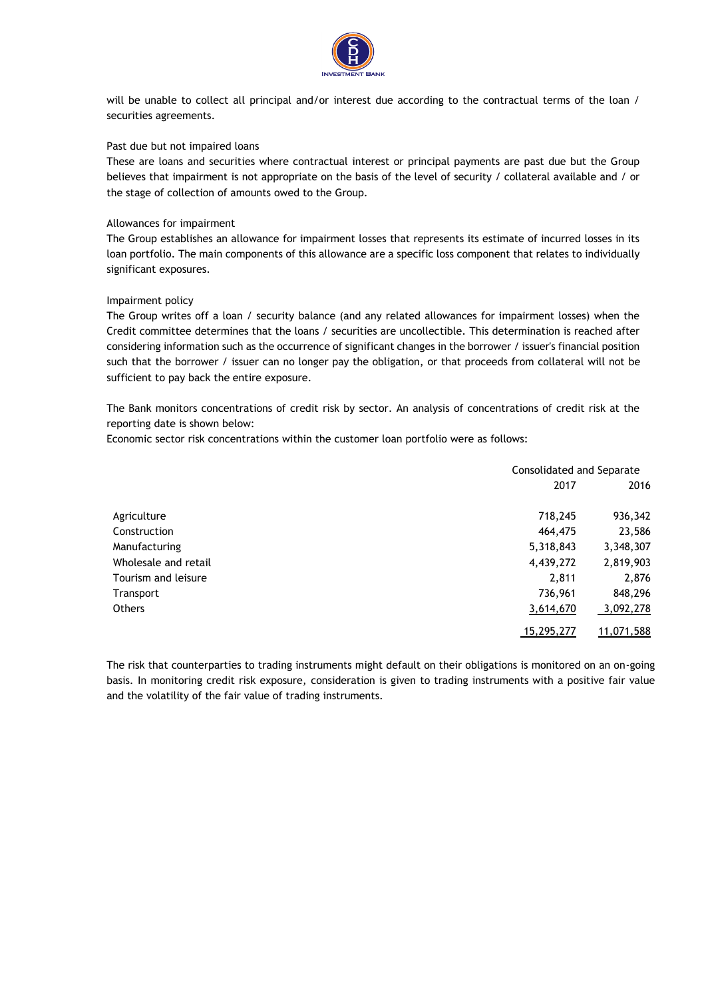

will be unable to collect all principal and/or interest due according to the contractual terms of the loan / securities agreements.

#### Past due but not impaired loans

These are loans and securities where contractual interest or principal payments are past due but the Group believes that impairment is not appropriate on the basis of the level of security / collateral available and / or the stage of collection of amounts owed to the Group.

#### Allowances for impairment

The Group establishes an allowance for impairment losses that represents its estimate of incurred losses in its loan portfolio. The main components of this allowance are a specific loss component that relates to individually significant exposures.

#### Impairment policy

The Group writes off a loan / security balance (and any related allowances for impairment losses) when the Credit committee determines that the loans / securities are uncollectible. This determination is reached after considering information such as the occurrence of significant changes in the borrower / issuer's financial position such that the borrower / issuer can no longer pay the obligation, or that proceeds from collateral will not be sufficient to pay back the entire exposure.

The Bank monitors concentrations of credit risk by sector. An analysis of concentrations of credit risk at the reporting date is shown below:

Economic sector risk concentrations within the customer loan portfolio were as follows:

|                      | Consolidated and Separate |            |
|----------------------|---------------------------|------------|
|                      | 2017                      | 2016       |
| Agriculture          | 718,245                   | 936,342    |
| Construction         | 464,475                   | 23,586     |
| Manufacturing        | 5,318,843                 | 3,348,307  |
| Wholesale and retail | 4,439,272                 | 2,819,903  |
| Tourism and leisure  | 2,811                     | 2,876      |
| Transport            | 736,961                   | 848,296    |
| <b>Others</b>        | 3,614,670                 | 3,092,278  |
|                      | 15,295,277                | 11,071,588 |

The risk that counterparties to trading instruments might default on their obligations is monitored on an on-going basis. In monitoring credit risk exposure, consideration is given to trading instruments with a positive fair value and the volatility of the fair value of trading instruments.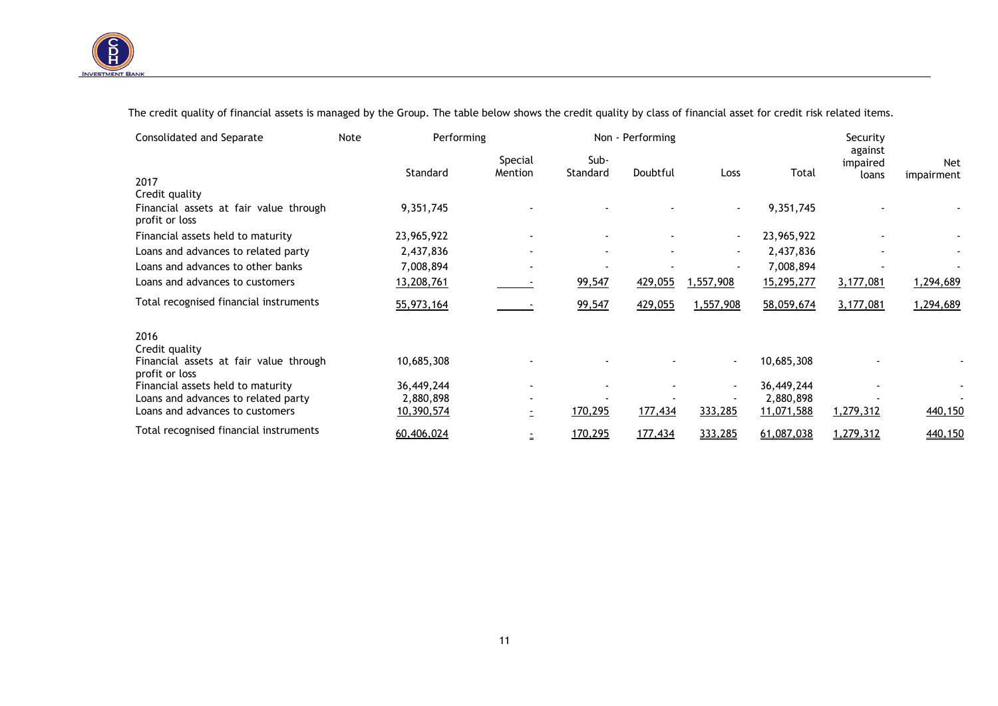

 $\overline{\phantom{a}}$ 

The credit quality of financial assets is managed by the Group. The table below shows the credit quality by class of financial asset for credit risk related items.

| Consolidated and Separate                                | Note | Performing |                    | Non - Performing |          |                          |            |                              |                   |
|----------------------------------------------------------|------|------------|--------------------|------------------|----------|--------------------------|------------|------------------------------|-------------------|
| 2017                                                     |      | Standard   | Special<br>Mention | Sub-<br>Standard | Doubtful | Loss                     | Total      | against<br>impaired<br>loans | Net<br>impairment |
| Credit quality                                           |      |            |                    |                  |          |                          |            |                              |                   |
| Financial assets at fair value through<br>profit or loss |      | 9,351,745  |                    |                  |          | $\blacksquare$           | 9,351,745  |                              |                   |
| Financial assets held to maturity                        |      | 23,965,922 |                    |                  |          | $\blacksquare$           | 23,965,922 |                              |                   |
| Loans and advances to related party                      |      | 2,437,836  |                    |                  |          | $\overline{\phantom{a}}$ | 2,437,836  |                              |                   |
| Loans and advances to other banks                        |      | 7,008,894  |                    |                  |          |                          | 7,008,894  |                              |                   |
| Loans and advances to customers                          |      | 13,208,761 |                    | 99,547           | 429,055  | ,557,908                 | 15,295,277 | 3,177,081                    | 1,294,689         |
| Total recognised financial instruments                   |      | 55,973,164 |                    | 99,547           | 429,055  | 1,557,908                | 58,059,674 | 3,177,081                    | 1,294,689         |
| 2016                                                     |      |            |                    |                  |          |                          |            |                              |                   |
| Credit quality                                           |      |            |                    |                  |          |                          |            |                              |                   |
| Financial assets at fair value through<br>profit or loss |      | 10,685,308 |                    |                  |          | $\overline{\phantom{a}}$ | 10,685,308 |                              |                   |
| Financial assets held to maturity                        |      | 36,449,244 |                    |                  |          |                          | 36,449,244 |                              |                   |
| Loans and advances to related party                      |      | 2,880,898  |                    |                  |          |                          | 2,880,898  |                              |                   |
| Loans and advances to customers                          |      | 10,390,574 | -                  | 170,295          | 177,434  | 333,285                  | 11,071,588 | 1,279,312                    | 440,150           |
| Total recognised financial instruments                   |      | 60,406,024 |                    | 170,295          | 177,434  | 333,285                  | 61,087,038 | 1,279,312                    | 440,150           |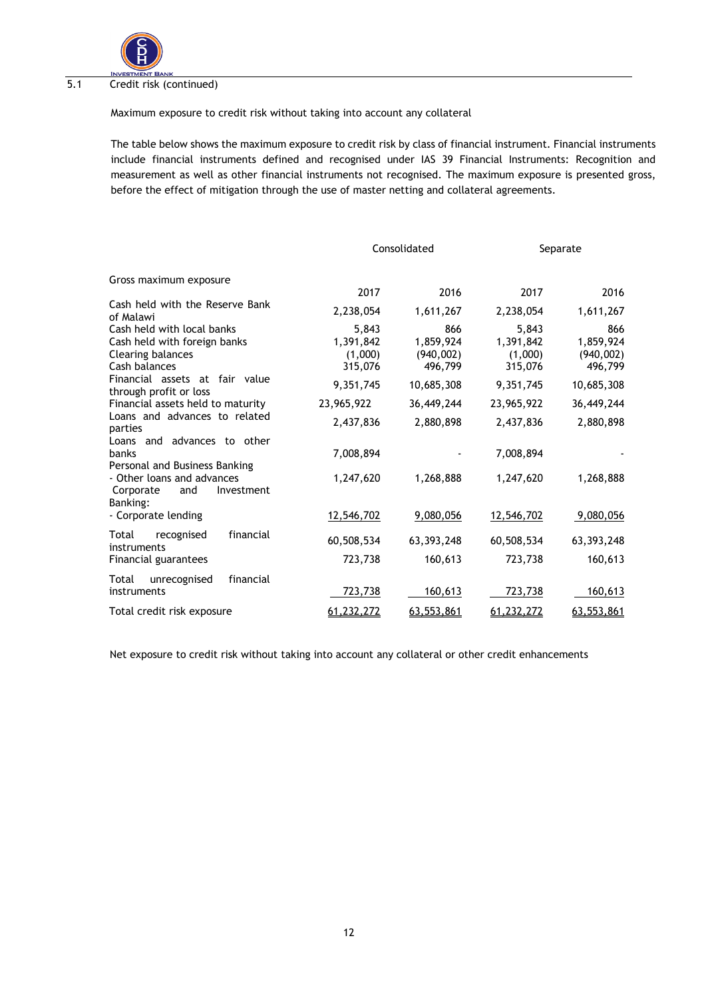

#### $\overline{5.1}$ Credit risk (continued)

Maximum exposure to credit risk without taking into account any collateral

The table below shows the maximum exposure to credit risk by class of financial instrument. Financial instruments include financial instruments defined and recognised under IAS 39 Financial Instruments: Recognition and measurement as well as other financial instruments not recognised. The maximum exposure is presented gross, before the effect of mitigation through the use of master netting and collateral agreements.

|                                                                                                  |                                          | Consolidated                             |                                          | Separate                                 |
|--------------------------------------------------------------------------------------------------|------------------------------------------|------------------------------------------|------------------------------------------|------------------------------------------|
| Gross maximum exposure                                                                           | 2017                                     | 2016                                     | 2017                                     | 2016                                     |
| Cash held with the Reserve Bank<br>of Malawi                                                     | 2,238,054                                | 1,611,267                                | 2,238,054                                | 1,611,267                                |
| Cash held with local banks<br>Cash held with foreign banks<br>Clearing balances<br>Cash balances | 5,843<br>1,391,842<br>(1,000)<br>315,076 | 866<br>1,859,924<br>(940,002)<br>496,799 | 5,843<br>1,391,842<br>(1,000)<br>315,076 | 866<br>1,859,924<br>(940,002)<br>496,799 |
| Financial assets at fair value<br>through profit or loss                                         | 9,351,745                                | 10,685,308                               | 9,351,745                                | 10,685,308                               |
| Financial assets held to maturity                                                                | 23,965,922                               | 36,449,244                               | 23,965,922                               | 36,449,244                               |
| Loans and advances to related<br>parties                                                         | 2,437,836                                | 2,880,898                                | 2,437,836                                | 2,880,898                                |
| Loans and advances to other<br>banks<br>Personal and Business Banking                            | 7,008,894                                |                                          | 7,008,894                                |                                          |
| - Other loans and advances<br>Corporate<br>Investment<br>and                                     | 1,247,620                                | 1,268,888                                | 1,247,620                                | 1,268,888                                |
| Banking:<br>- Corporate lending                                                                  | 12,546,702                               | 9,080,056                                | 12,546,702                               | 9,080,056                                |
| financial<br>Total<br>recognised<br>instruments                                                  | 60,508,534                               | 63, 393, 248                             | 60,508,534                               | 63, 393, 248                             |
| Financial guarantees                                                                             | 723,738                                  | 160,613                                  | 723,738                                  | 160,613                                  |
| financial<br>Total<br>unrecognised<br>instruments                                                | 723,738                                  | 160,613                                  | 723,738                                  | <u>160,613</u>                           |
| Total credit risk exposure                                                                       | 61,232,272                               | 63,553,861                               | 61,232,272                               | 63,553,861                               |

Net exposure to credit risk without taking into account any collateral or other credit enhancements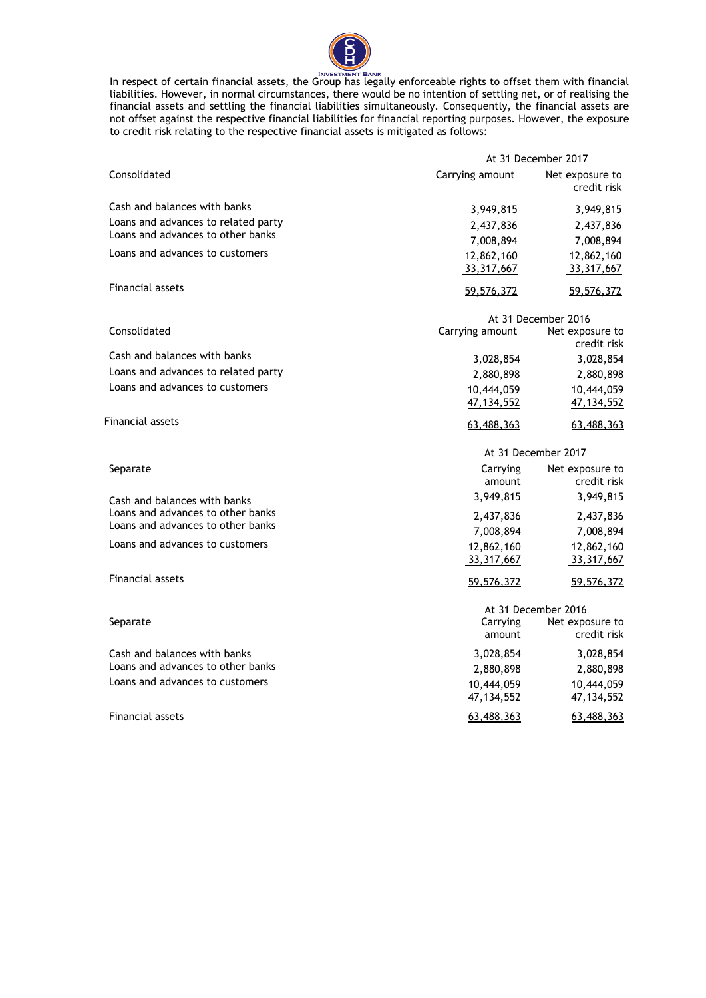

In respect of certain financial assets, the Group has legally enforceable rights to offset them with financial liabilities. However, in normal circumstances, there would be no intention of settling net, or of realising the financial assets and settling the financial liabilities simultaneously. Consequently, the financial assets are not offset against the respective financial liabilities for financial reporting purposes. However, the exposure to credit risk relating to the respective financial assets is mitigated as follows:

|                                     | At 31 December 2017        |                                |  |  |  |
|-------------------------------------|----------------------------|--------------------------------|--|--|--|
| Consolidated                        | Carrying amount            | Net exposure to<br>credit risk |  |  |  |
| Cash and balances with banks        | 3,949,815                  | 3,949,815                      |  |  |  |
| Loans and advances to related party | 2,437,836                  | 2,437,836                      |  |  |  |
| Loans and advances to other banks   | 7,008,894                  | 7,008,894                      |  |  |  |
| Loans and advances to customers     | 12,862,160<br>33,317,667   | 12,862,160<br>33,317,667       |  |  |  |
| <b>Financial assets</b>             | 59,576,372                 | 59,576,372                     |  |  |  |
|                                     |                            | At 31 December 2016            |  |  |  |
| Consolidated                        | Carrying amount            | Net exposure to<br>credit risk |  |  |  |
| Cash and balances with banks        | 3,028,854                  | 3,028,854                      |  |  |  |
| Loans and advances to related party | 2,880,898                  | 2,880,898                      |  |  |  |
| Loans and advances to customers     | 10,444,059<br>47, 134, 552 | 10,444,059<br>47, 134, 552     |  |  |  |
| Financial assets                    | 63,488,363                 | 63,488,363                     |  |  |  |
|                                     |                            | At 31 December 2017            |  |  |  |
| Separate                            | Carrying<br>amount         | Net exposure to<br>credit risk |  |  |  |
| Cash and balances with banks        | 3,949,815                  | 3,949,815                      |  |  |  |
| Loans and advances to other banks   | 2,437,836                  | 2,437,836                      |  |  |  |
| Loans and advances to other banks   | 7,008,894                  | 7,008,894                      |  |  |  |
| Loans and advances to customers     | 12,862,160<br>33,317,667   | 12,862,160<br>33,317,667       |  |  |  |
| <b>Financial assets</b>             | 59,576,372                 | 59,576,372                     |  |  |  |
|                                     |                            | At 31 December 2016            |  |  |  |
| Separate                            | Carrying<br>amount         | Net exposure to<br>credit risk |  |  |  |
| Cash and balances with banks        | 3,028,854                  | 3,028,854                      |  |  |  |
| Loans and advances to other banks   | 2,880,898                  | 2,880,898                      |  |  |  |
| Loans and advances to customers     | 10,444,059<br>47, 134, 552 | 10,444,059<br>47, 134, 552     |  |  |  |
| <b>Financial assets</b>             | 63,488,363                 | 63,488,363                     |  |  |  |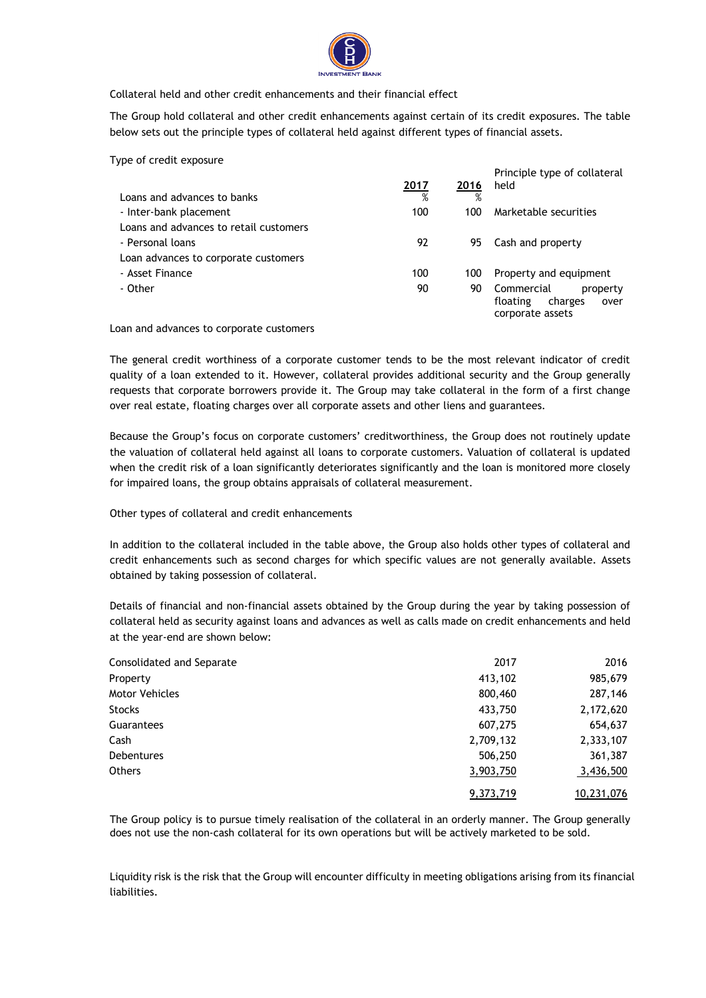

Collateral held and other credit enhancements and their financial effect

The Group hold collateral and other credit enhancements against certain of its credit exposures. The table below sets out the principle types of collateral held against different types of financial assets.

Type of credit exposure

|                                        |      |      | Principle type of collateral |
|----------------------------------------|------|------|------------------------------|
|                                        | 2017 | 2016 | held                         |
| Loans and advances to banks            | %    | %    |                              |
| - Inter-bank placement                 | 100  | 100  | Marketable securities        |
| Loans and advances to retail customers |      |      |                              |
| - Personal loans                       | 92   | 95.  | Cash and property            |
| Loan advances to corporate customers   |      |      |                              |
| - Asset Finance                        | 100  | 100  | Property and equipment       |
| - Other                                | 90   | 90   | Commercial<br>property       |
|                                        |      |      | floating<br>charges<br>over  |
|                                        |      |      | corporate assets             |

Loan and advances to corporate customers

The general credit worthiness of a corporate customer tends to be the most relevant indicator of credit quality of a loan extended to it. However, collateral provides additional security and the Group generally requests that corporate borrowers provide it. The Group may take collateral in the form of a first change over real estate, floating charges over all corporate assets and other liens and guarantees.

Because the Group's focus on corporate customers' creditworthiness, the Group does not routinely update the valuation of collateral held against all loans to corporate customers. Valuation of collateral is updated when the credit risk of a loan significantly deteriorates significantly and the loan is monitored more closely for impaired loans, the group obtains appraisals of collateral measurement.

Other types of collateral and credit enhancements

In addition to the collateral included in the table above, the Group also holds other types of collateral and credit enhancements such as second charges for which specific values are not generally available. Assets obtained by taking possession of collateral.

Details of financial and non-financial assets obtained by the Group during the year by taking possession of collateral held as security against loans and advances as well as calls made on credit enhancements and held at the year-end are shown below:

| Consolidated and Separate | 2017      | 2016       |
|---------------------------|-----------|------------|
| Property                  | 413,102   | 985,679    |
| <b>Motor Vehicles</b>     | 800,460   | 287,146    |
| <b>Stocks</b>             | 433,750   | 2,172,620  |
| Guarantees                | 607,275   | 654,637    |
| Cash                      | 2,709,132 | 2,333,107  |
| <b>Debentures</b>         | 506,250   | 361,387    |
| <b>Others</b>             | 3,903,750 | 3,436,500  |
|                           | 9,373,719 | 10,231,076 |

The Group policy is to pursue timely realisation of the collateral in an orderly manner. The Group generally does not use the non-cash collateral for its own operations but will be actively marketed to be sold.

Liquidity risk is the risk that the Group will encounter difficulty in meeting obligations arising from its financial liabilities.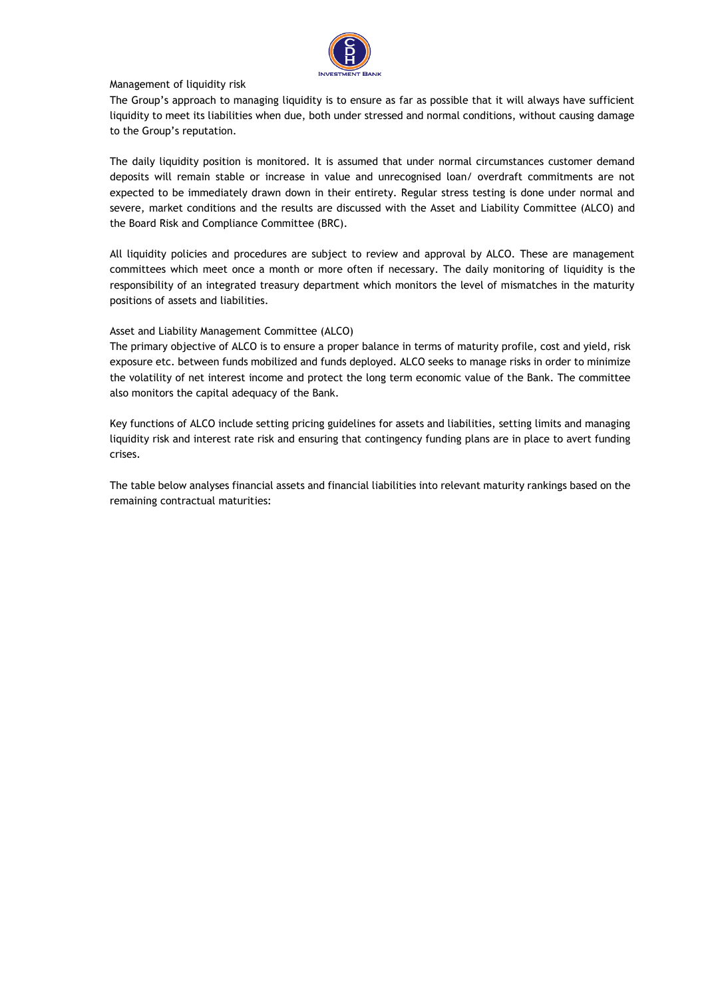

#### Management of liquidity risk

The Group's approach to managing liquidity is to ensure as far as possible that it will always have sufficient liquidity to meet its liabilities when due, both under stressed and normal conditions, without causing damage to the Group's reputation.

The daily liquidity position is monitored. It is assumed that under normal circumstances customer demand deposits will remain stable or increase in value and unrecognised loan/ overdraft commitments are not expected to be immediately drawn down in their entirety. Regular stress testing is done under normal and severe, market conditions and the results are discussed with the Asset and Liability Committee (ALCO) and the Board Risk and Compliance Committee (BRC).

All liquidity policies and procedures are subject to review and approval by ALCO. These are management committees which meet once a month or more often if necessary. The daily monitoring of liquidity is the responsibility of an integrated treasury department which monitors the level of mismatches in the maturity positions of assets and liabilities.

#### Asset and Liability Management Committee (ALCO)

The primary objective of ALCO is to ensure a proper balance in terms of maturity profile, cost and yield, risk exposure etc. between funds mobilized and funds deployed. ALCO seeks to manage risks in order to minimize the volatility of net interest income and protect the long term economic value of the Bank. The committee also monitors the capital adequacy of the Bank.

Key functions of ALCO include setting pricing guidelines for assets and liabilities, setting limits and managing liquidity risk and interest rate risk and ensuring that contingency funding plans are in place to avert funding crises.

The table below analyses financial assets and financial liabilities into relevant maturity rankings based on the remaining contractual maturities: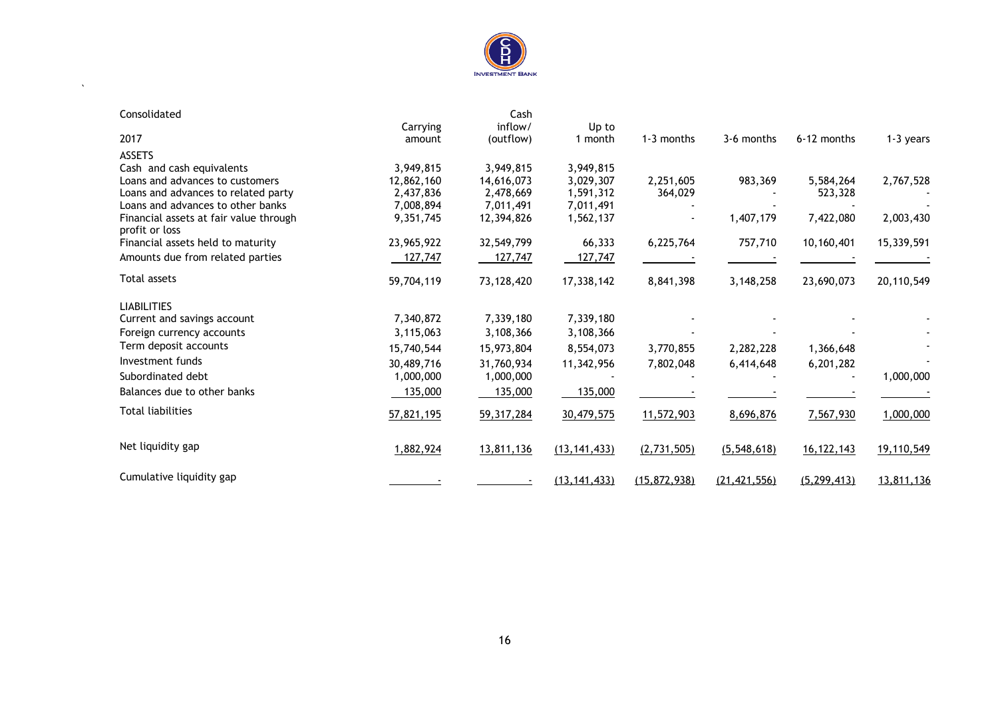

 $\sim$   $\sim$ 

| Consolidated                           |            | Cash         |                |                |                |               |            |
|----------------------------------------|------------|--------------|----------------|----------------|----------------|---------------|------------|
|                                        | Carrying   | inflow/      | Up to          |                |                |               |            |
| 2017                                   | amount     | (outflow)    | 1 month        | $1-3$ months   | 3-6 months     | 6-12 months   | 1-3 years  |
| <b>ASSETS</b>                          |            |              |                |                |                |               |            |
| Cash and cash equivalents              | 3,949,815  | 3,949,815    | 3,949,815      |                |                |               |            |
| Loans and advances to customers        | 12,862,160 | 14,616,073   | 3,029,307      | 2,251,605      | 983,369        | 5,584,264     | 2,767,528  |
| Loans and advances to related party    | 2,437,836  | 2,478,669    | 1,591,312      | 364,029        |                | 523,328       |            |
| Loans and advances to other banks      | 7,008,894  | 7,011,491    | 7,011,491      |                |                |               |            |
| Financial assets at fair value through | 9,351,745  | 12,394,826   | 1,562,137      |                | 1,407,179      | 7,422,080     | 2,003,430  |
| profit or loss                         |            |              |                |                |                |               |            |
| Financial assets held to maturity      | 23,965,922 | 32,549,799   | 66,333         | 6,225,764      | 757,710        | 10,160,401    | 15,339,591 |
| Amounts due from related parties       | 127,747    | 127,747      | 127,747        |                |                |               |            |
| Total assets                           | 59,704,119 | 73,128,420   | 17,338,142     | 8,841,398      | 3,148,258      | 23,690,073    | 20,110,549 |
| <b>LIABILITIES</b>                     |            |              |                |                |                |               |            |
| Current and savings account            | 7,340,872  | 7,339,180    | 7,339,180      |                |                |               |            |
| Foreign currency accounts              | 3,115,063  | 3,108,366    | 3,108,366      |                |                |               |            |
| Term deposit accounts                  | 15,740,544 | 15,973,804   | 8,554,073      | 3,770,855      | 2,282,228      | 1,366,648     |            |
| Investment funds                       | 30,489,716 | 31,760,934   | 11,342,956     | 7,802,048      | 6,414,648      | 6,201,282     |            |
| Subordinated debt                      | 1,000,000  | 1,000,000    |                |                |                |               | 1,000,000  |
| Balances due to other banks            | 135,000    | 135,000      | 135,000        |                |                |               |            |
|                                        |            |              |                |                |                |               |            |
| <b>Total liabilities</b>               | 57,821,195 | 59, 317, 284 | 30,479,575     | 11,572,903     | 8,696,876      | 7,567,930     | 1,000,000  |
| Net liquidity gap                      | 1,882,924  | 13,811,136   | (13, 141, 433) | (2, 731, 505)  | (5,548,618)    | 16, 122, 143  | 19,110,549 |
|                                        |            |              |                |                |                |               |            |
| Cumulative liquidity gap               |            |              | (13, 141, 433) | (15, 872, 938) | (21, 421, 556) | (5, 299, 413) | 13,811,136 |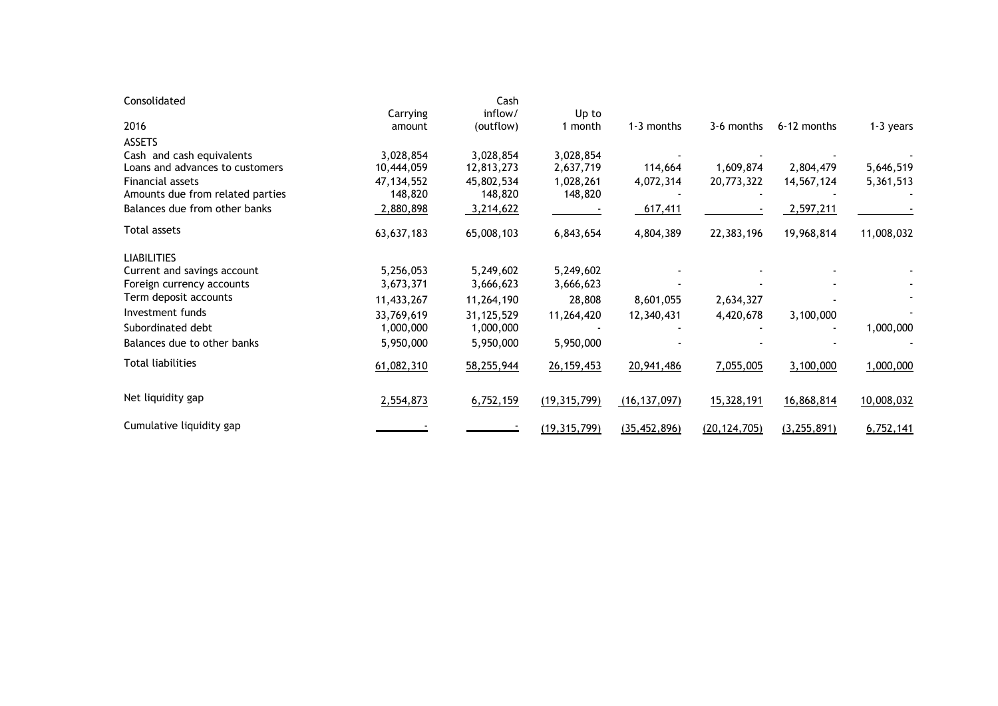| Consolidated                     |              | Cash       |                |                |                |               |            |
|----------------------------------|--------------|------------|----------------|----------------|----------------|---------------|------------|
|                                  | Carrying     | inflow/    | Up to          |                |                |               |            |
| 2016                             | amount       | (outflow)  | 1 month        | 1-3 months     | 3-6 months     | 6-12 months   | 1-3 years  |
| <b>ASSETS</b>                    |              |            |                |                |                |               |            |
| Cash and cash equivalents        | 3,028,854    | 3,028,854  | 3,028,854      |                |                |               |            |
| Loans and advances to customers  | 10,444,059   | 12,813,273 | 2,637,719      | 114,664        | 1,609,874      | 2,804,479     | 5,646,519  |
| Financial assets                 | 47, 134, 552 | 45,802,534 | 1,028,261      | 4,072,314      | 20,773,322     | 14,567,124    | 5,361,513  |
| Amounts due from related parties | 148,820      | 148,820    | 148,820        |                |                |               |            |
| Balances due from other banks    | 2,880,898    | 3,214,622  |                | 617,411        |                | 2,597,211     |            |
| Total assets                     | 63,637,183   | 65,008,103 | 6,843,654      | 4,804,389      | 22,383,196     | 19,968,814    | 11,008,032 |
| <b>LIABILITIES</b>               |              |            |                |                |                |               |            |
| Current and savings account      | 5,256,053    | 5,249,602  | 5,249,602      |                |                |               |            |
| Foreign currency accounts        | 3,673,371    | 3,666,623  | 3,666,623      |                |                |               |            |
| Term deposit accounts            | 11,433,267   | 11,264,190 | 28,808         | 8,601,055      | 2,634,327      |               |            |
| Investment funds                 | 33,769,619   | 31,125,529 | 11,264,420     | 12,340,431     | 4,420,678      | 3,100,000     |            |
| Subordinated debt                | 1,000,000    | 1,000,000  |                |                |                |               | 1,000,000  |
| Balances due to other banks      | 5,950,000    | 5,950,000  | 5,950,000      |                |                |               |            |
| <b>Total liabilities</b>         | 61,082,310   | 58,255,944 | 26, 159, 453   | 20,941,486     | 7,055,005      | 3,100,000     | 1,000,000  |
| Net liquidity gap                | 2,554,873    | 6,752,159  | (19, 315, 799) | (16, 137, 097) | 15,328,191     | 16,868,814    | 10,008,032 |
| Cumulative liquidity gap         |              |            | (19, 315, 799) | (35, 452, 896) | (20, 124, 705) | (3, 255, 891) | 6,752,141  |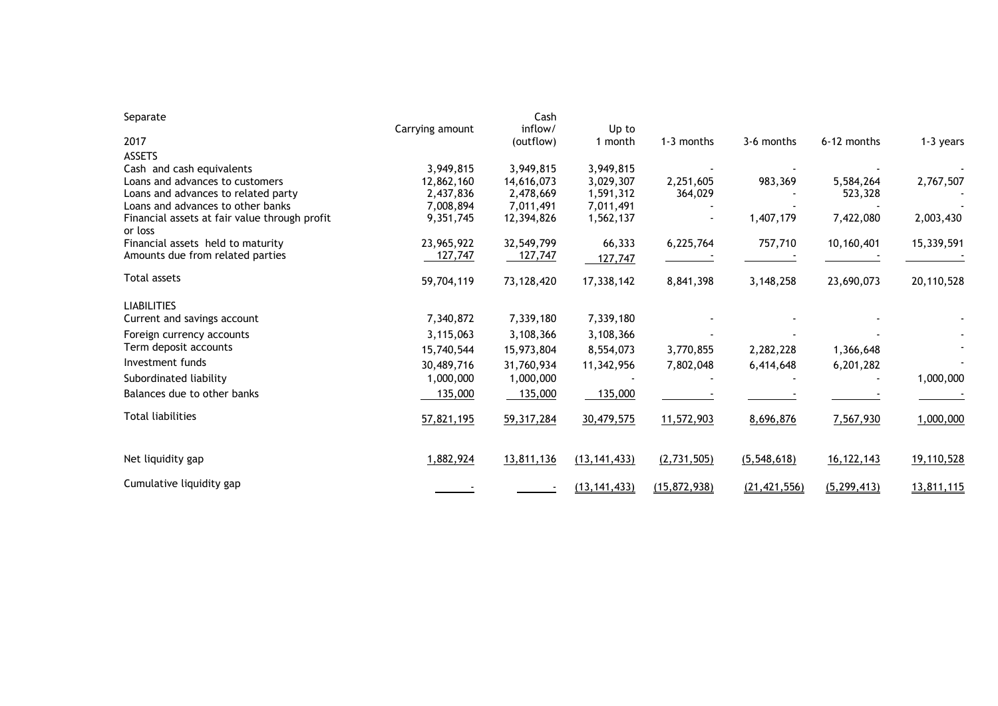| Separate                                                 |                 | Cash         |                |                |                |               |            |
|----------------------------------------------------------|-----------------|--------------|----------------|----------------|----------------|---------------|------------|
|                                                          | Carrying amount | inflow/      | Up to          |                |                |               |            |
| 2017                                                     |                 | (outflow)    | month          | 1-3 months     | 3-6 months     | 6-12 months   | 1-3 years  |
| <b>ASSETS</b>                                            |                 |              |                |                |                |               |            |
| Cash and cash equivalents                                | 3,949,815       | 3,949,815    | 3,949,815      |                |                |               |            |
| Loans and advances to customers                          | 12,862,160      | 14,616,073   | 3,029,307      | 2,251,605      | 983,369        | 5,584,264     | 2,767,507  |
| Loans and advances to related party                      | 2,437,836       | 2,478,669    | 1,591,312      | 364,029        |                | 523,328       |            |
| Loans and advances to other banks                        | 7,008,894       | 7,011,491    | 7,011,491      |                |                |               |            |
| Financial assets at fair value through profit<br>or loss | 9,351,745       | 12,394,826   | 1,562,137      |                | 1,407,179      | 7,422,080     | 2,003,430  |
| Financial assets held to maturity                        | 23,965,922      | 32,549,799   | 66,333         | 6,225,764      | 757,710        | 10,160,401    | 15,339,591 |
| Amounts due from related parties                         | 127,747         | 127,747      | 127,747        |                |                |               |            |
| Total assets                                             | 59,704,119      | 73,128,420   | 17,338,142     | 8,841,398      | 3, 148, 258    | 23,690,073    | 20,110,528 |
| <b>LIABILITIES</b>                                       |                 |              |                |                |                |               |            |
| Current and savings account                              | 7,340,872       | 7,339,180    | 7,339,180      |                |                |               |            |
| Foreign currency accounts                                | 3,115,063       | 3,108,366    | 3,108,366      |                |                |               |            |
| Term deposit accounts                                    | 15,740,544      | 15,973,804   | 8,554,073      | 3,770,855      | 2,282,228      | 1,366,648     |            |
| Investment funds                                         | 30,489,716      | 31,760,934   | 11,342,956     | 7,802,048      | 6,414,648      | 6,201,282     |            |
| Subordinated liability                                   | 1,000,000       | 1,000,000    |                |                |                |               | 1,000,000  |
| Balances due to other banks                              | 135,000         | 135,000      | 135,000        |                |                |               |            |
| <b>Total liabilities</b>                                 | 57,821,195      | 59, 317, 284 | 30,479,575     | 11,572,903     | 8,696,876      | 7,567,930     | 1,000,000  |
| Net liquidity gap                                        | 1,882,924       | 13,811,136   | (13, 141, 433) | (2, 731, 505)  | (5,548,618)    | 16, 122, 143  | 19,110,528 |
| Cumulative liquidity gap                                 |                 |              | (13, 141, 433) | (15, 872, 938) | (21, 421, 556) | (5, 299, 413) | 13,811,115 |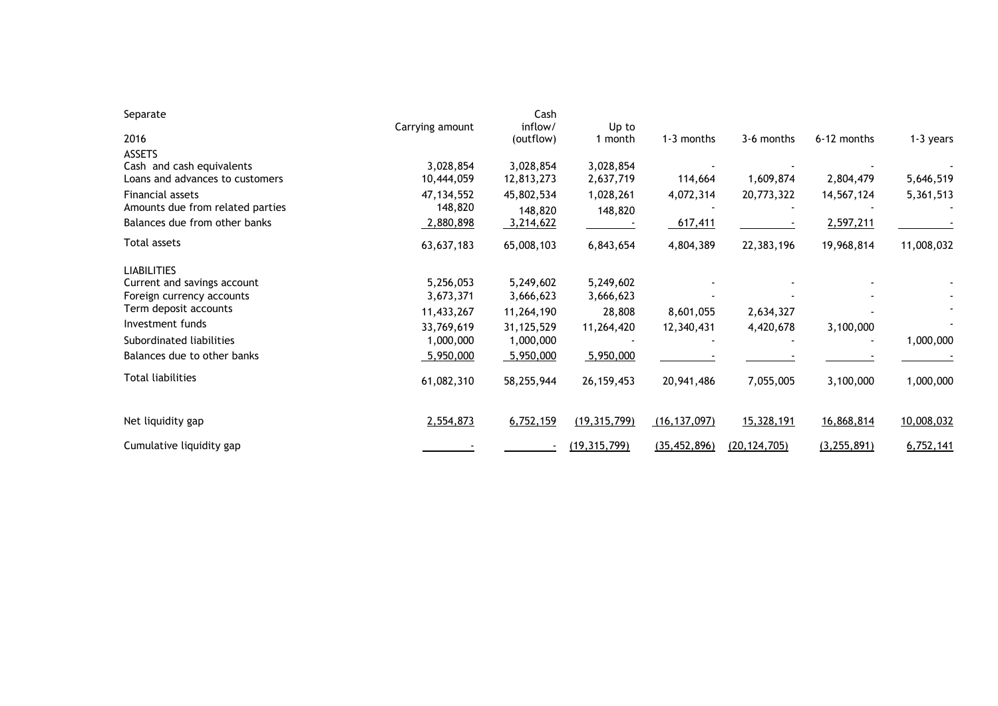| Separate                         | Carrying amount | Cash<br>inflow/ | Up to          |                |                |               |            |
|----------------------------------|-----------------|-----------------|----------------|----------------|----------------|---------------|------------|
| 2016                             |                 | (outflow)       | 1 month        | 1-3 months     | 3-6 months     | 6-12 months   | 1-3 years  |
| <b>ASSETS</b>                    |                 |                 |                |                |                |               |            |
| Cash and cash equivalents        | 3,028,854       | 3,028,854       | 3,028,854      |                |                |               |            |
| Loans and advances to customers  | 10,444,059      | 12,813,273      | 2,637,719      | 114,664        | 1,609,874      | 2,804,479     | 5,646,519  |
| Financial assets                 | 47, 134, 552    | 45,802,534      | 1,028,261      | 4,072,314      | 20,773,322     | 14,567,124    | 5,361,513  |
| Amounts due from related parties | 148,820         | 148,820         | 148,820        |                |                |               |            |
| Balances due from other banks    | 2,880,898       | 3,214,622       |                | 617,411        |                | 2,597,211     |            |
| Total assets                     | 63,637,183      | 65,008,103      | 6,843,654      | 4,804,389      | 22,383,196     | 19,968,814    | 11,008,032 |
| <b>LIABILITIES</b>               |                 |                 |                |                |                |               |            |
| Current and savings account      | 5,256,053       | 5,249,602       | 5,249,602      |                |                |               |            |
| Foreign currency accounts        | 3,673,371       | 3,666,623       | 3,666,623      |                |                |               |            |
| Term deposit accounts            | 11,433,267      | 11,264,190      | 28,808         | 8,601,055      | 2,634,327      |               |            |
| Investment funds                 | 33,769,619      | 31,125,529      | 11,264,420     | 12,340,431     | 4,420,678      | 3,100,000     |            |
| Subordinated liabilities         | 1,000,000       | 1,000,000       |                |                |                |               | 1,000,000  |
| Balances due to other banks      | 5,950,000       | 5,950,000       | 5,950,000      |                |                |               |            |
| <b>Total liabilities</b>         | 61,082,310      | 58,255,944      | 26, 159, 453   | 20,941,486     | 7,055,005      | 3,100,000     | 1,000,000  |
| Net liquidity gap                | 2,554,873       | 6,752,159       | (19, 315, 799) | (16, 137, 097) | 15,328,191     | 16,868,814    | 10,008,032 |
| Cumulative liquidity gap         |                 |                 | (19, 315, 799) | (35, 452, 896) | (20, 124, 705) | (3, 255, 891) | 6,752,141  |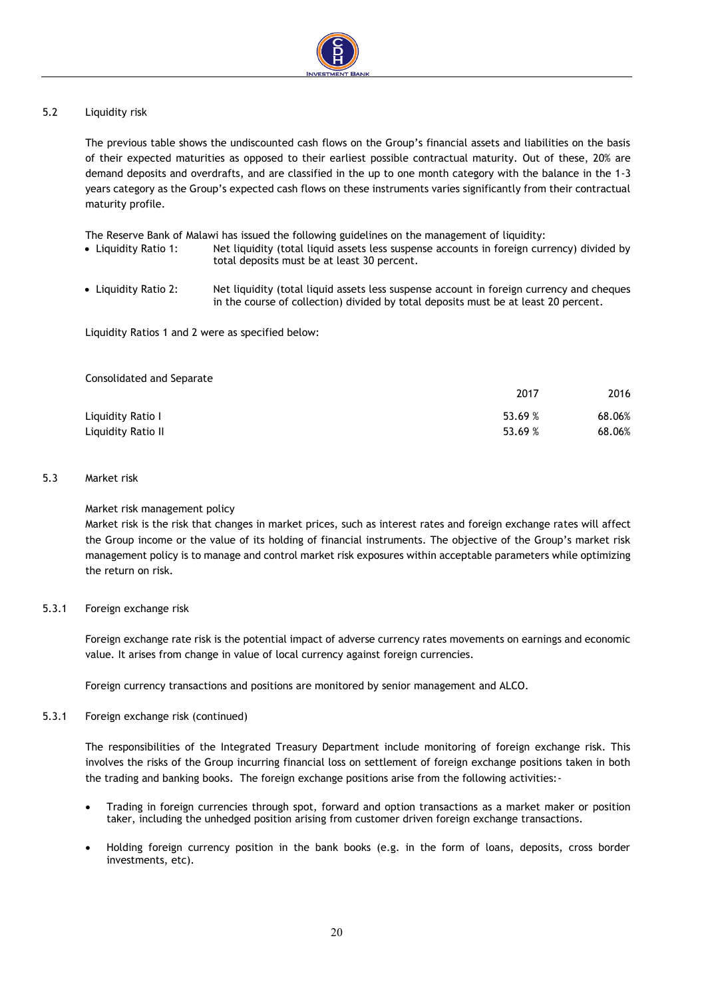

#### 5.2 Liquidity risk

The previous table shows the undiscounted cash flows on the Group's financial assets and liabilities on the basis of their expected maturities as opposed to their earliest possible contractual maturity. Out of these, 20% are demand deposits and overdrafts, and are classified in the up to one month category with the balance in the 1-3 years category as the Group's expected cash flows on these instruments varies significantly from their contractual maturity profile.

The Reserve Bank of Malawi has issued the following guidelines on the management of liquidity:

- Liquidity Ratio 1: Net liquidity (total liquid assets less suspense accounts in foreign currency) divided by total deposits must be at least 30 percent.
- Liquidity Ratio 2: Net liquidity (total liquid assets less suspense account in foreign currency and cheques in the course of collection) divided by total deposits must be at least 20 percent.

Liquidity Ratios 1 and 2 were as specified below:

| Consolidated and Separate |         |        |
|---------------------------|---------|--------|
|                           | 2017    | 2016   |
| Liquidity Ratio I         | 53.69 % | 68.06% |
| Liquidity Ratio II        | 53.69 % | 68.06% |

#### 5.3 Market risk

#### Market risk management policy

Market risk is the risk that changes in market prices, such as interest rates and foreign exchange rates will affect the Group income or the value of its holding of financial instruments. The objective of the Group's market risk management policy is to manage and control market risk exposures within acceptable parameters while optimizing the return on risk.

#### 5.3.1 Foreign exchange risk

Foreign exchange rate risk is the potential impact of adverse currency rates movements on earnings and economic value. It arises from change in value of local currency against foreign currencies.

Foreign currency transactions and positions are monitored by senior management and ALCO.

#### 5.3.1 Foreign exchange risk (continued)

The responsibilities of the Integrated Treasury Department include monitoring of foreign exchange risk. This involves the risks of the Group incurring financial loss on settlement of foreign exchange positions taken in both the trading and banking books. The foreign exchange positions arise from the following activities:-

- Trading in foreign currencies through spot, forward and option transactions as a market maker or position taker, including the unhedged position arising from customer driven foreign exchange transactions.
- Holding foreign currency position in the bank books (e.g. in the form of loans, deposits, cross border investments, etc).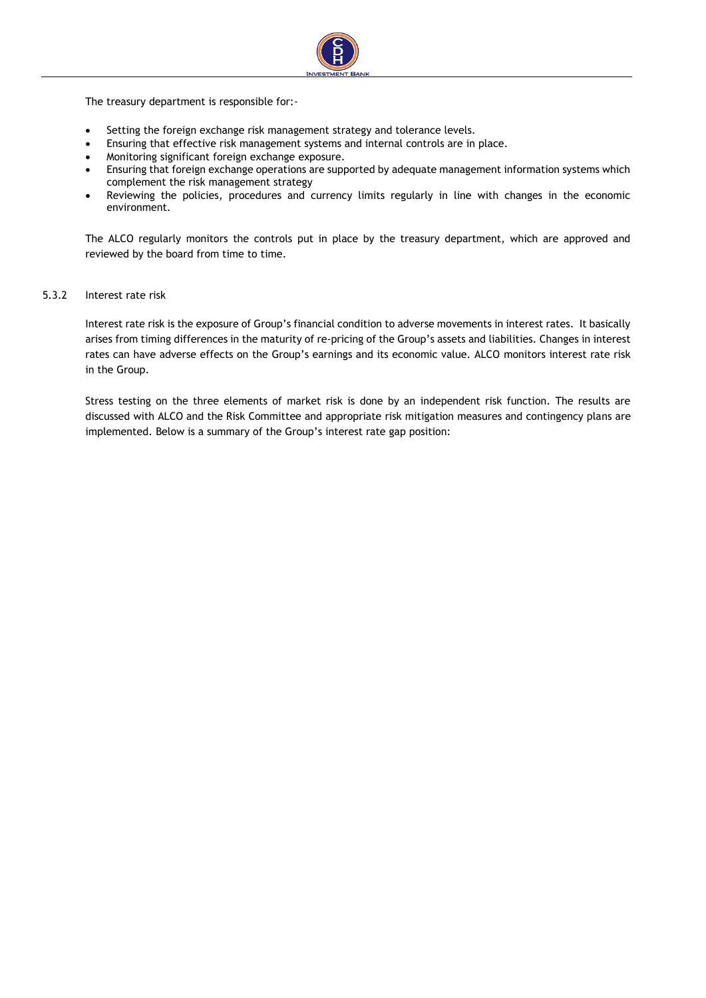

The treasury department is responsible for:-

- Setting the foreign exchange risk management strategy and tolerance levels.
- Ensuring that effective risk management systems and internal controls are in place.
- Monitoring significant foreign exchange exposure.
- Ensuring that foreign exchange operations are supported by adequate management information systems which complement the risk management strategy
- Reviewing the policies, procedures and currency limits regularly in line with changes in the economic environment.

The ALCO regularly monitors the controls put in place by the treasury department, which are approved and reviewed by the board from time to time.

#### 5.3.2 Interest rate risk

Interest rate risk is the exposure of Group's financial condition to adverse movements in interest rates. It basically arises from timing differences in the maturity of re-pricing of the Group's assets and liabilities. Changes in interest rates can have adverse effects on the Group's earnings and its economic value. ALCO monitors interest rate risk in the Group.

Stress testing on the three elements of market risk is done by an independent risk function. The results are discussed with ALCO and the Risk Committee and appropriate risk mitigation measures and contingency plans are implemented. Below is a summary of the Group's interest rate gap position: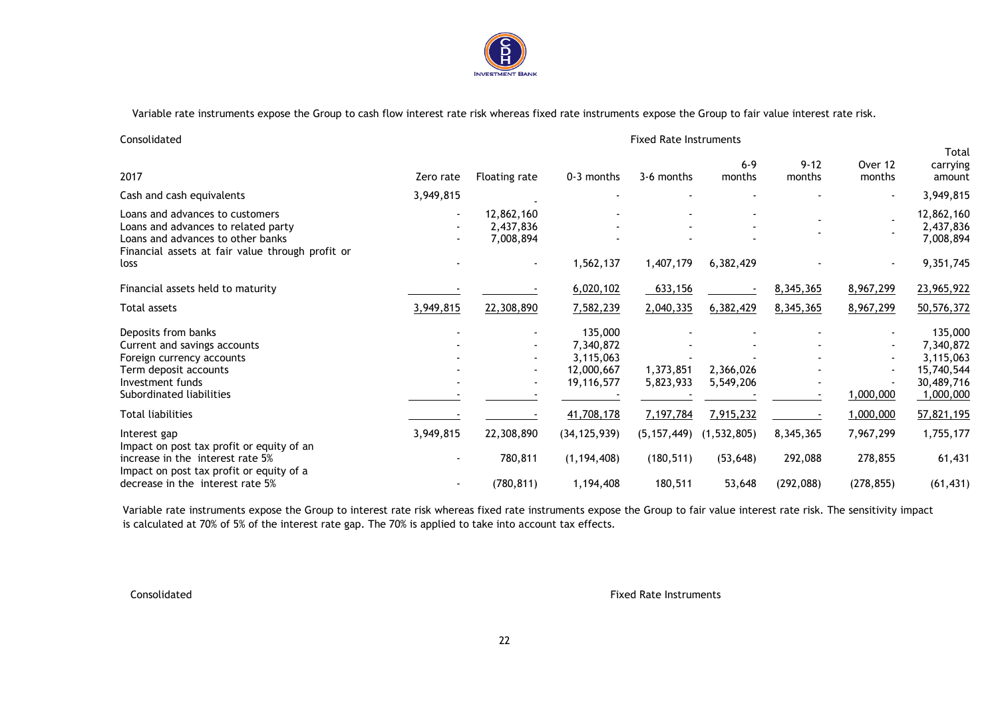

Variable rate instruments expose the Group to cash flow interest rate risk whereas fixed rate instruments expose the Group to fair value interest rate risk.

| Consolidated |  |
|--------------|--|
|              |  |

#### Fixed Rate Instruments

Total

| 2017                                                                                                                                                            | Zero rate | Floating rate                                        | 0-3 months                                                    | 3-6 months             | $6 - 9$<br>months      | $9 - 12$<br>months    | Over 12<br>months     | ποιαι<br>carrying<br>amount                                                |
|-----------------------------------------------------------------------------------------------------------------------------------------------------------------|-----------|------------------------------------------------------|---------------------------------------------------------------|------------------------|------------------------|-----------------------|-----------------------|----------------------------------------------------------------------------|
| Cash and cash equivalents                                                                                                                                       | 3,949,815 |                                                      |                                                               |                        |                        |                       |                       | 3,949,815                                                                  |
| Loans and advances to customers<br>Loans and advances to related party<br>Loans and advances to other banks<br>Financial assets at fair value through profit or |           | 12,862,160<br>2,437,836<br>7,008,894                 |                                                               |                        |                        |                       |                       | 12,862,160<br>2,437,836<br>7,008,894                                       |
| loss                                                                                                                                                            |           |                                                      | 1,562,137                                                     | 1,407,179              | 6,382,429              |                       |                       | 9,351,745                                                                  |
| Financial assets held to maturity                                                                                                                               |           |                                                      | 6,020,102                                                     | 633,156                |                        | 8,345,365             | 8,967,299             | 23,965,922                                                                 |
| Total assets                                                                                                                                                    | 3,949,815 | 22,308,890                                           | 7,582,239                                                     | 2,040,335              | 6,382,429              | 8,345,365             | 8,967,299             | 50,576,372                                                                 |
| Deposits from banks<br>Current and savings accounts<br>Foreign currency accounts<br>Term deposit accounts<br>Investment funds<br>Subordinated liabilities       |           | $\overline{\phantom{a}}$<br>$\overline{\phantom{a}}$ | 135,000<br>7,340,872<br>3,115,063<br>12,000,667<br>19,116,577 | 1,373,851<br>5,823,933 | 2,366,026<br>5,549,206 |                       | 1,000,000             | 135,000<br>7,340,872<br>3,115,063<br>15,740,544<br>30,489,716<br>1,000,000 |
| Total liabilities                                                                                                                                               |           |                                                      | 41,708,178                                                    | 7,197,784              | 7,915,232              |                       | 1,000,000             | 57,821,195                                                                 |
| Interest gap<br>Impact on post tax profit or equity of an                                                                                                       | 3,949,815 | 22,308,890                                           | (34, 125, 939)                                                | (5, 157, 449)          | (1, 532, 805)          | 8,345,365             | 7,967,299             | 1,755,177                                                                  |
| increase in the interest rate 5%<br>Impact on post tax profit or equity of a<br>decrease in the interest rate 5%                                                |           | 780,811<br>(780, 811)                                | (1, 194, 408)<br>1,194,408                                    | (180, 511)<br>180,511  | (53, 648)<br>53,648    | 292,088<br>(292, 088) | 278,855<br>(278, 855) | 61,431<br>(61, 431)                                                        |
|                                                                                                                                                                 |           |                                                      |                                                               |                        |                        |                       |                       |                                                                            |

Variable rate instruments expose the Group to interest rate risk whereas fixed rate instruments expose the Group to fair value interest rate risk. The sensitivity impact is calculated at 70% of 5% of the interest rate gap. The 70% is applied to take into account tax effects.

Consolidated **Fixed Rate Instruments**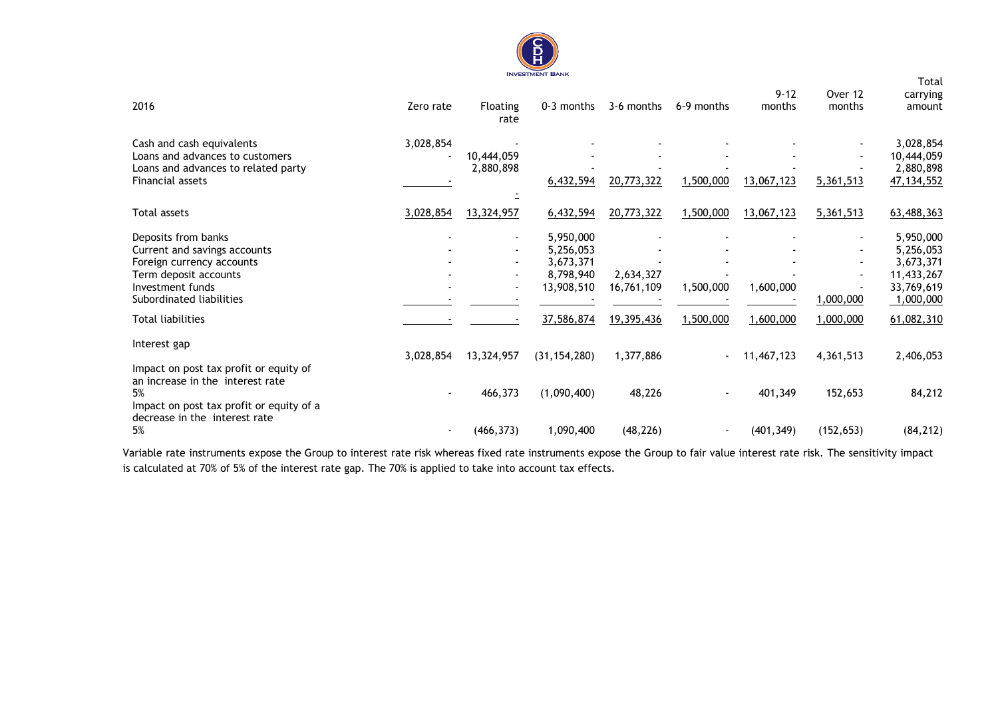

|                                                                                                                                                           |           |                                                                        |                                                                |                         |                |            |                                       | Total                                                                        |
|-----------------------------------------------------------------------------------------------------------------------------------------------------------|-----------|------------------------------------------------------------------------|----------------------------------------------------------------|-------------------------|----------------|------------|---------------------------------------|------------------------------------------------------------------------------|
|                                                                                                                                                           |           |                                                                        |                                                                |                         |                | $9 - 12$   | Over 12                               | carrying                                                                     |
| 2016                                                                                                                                                      | Zero rate | <b>Floating</b><br>rate                                                | 0-3 months                                                     | 3-6 months              | 6-9 months     | months     | months                                | amount                                                                       |
| Cash and cash equivalents<br>Loans and advances to customers<br>Loans and advances to related party<br>Financial assets                                   | 3,028,854 | 10,444,059<br>2,880,898                                                | 6,432,594                                                      | 20,773,322              | 1,500,000      | 13,067,123 | 5,361,513                             | 3,028,854<br>10,444,059<br>2,880,898<br>47, 134, 552                         |
| Total assets                                                                                                                                              | 3,028,854 | 13,324,957                                                             | 6,432,594                                                      | 20,773,322              | 1,500,000      | 13,067,123 | 5,361,513                             | 63,488,363                                                                   |
|                                                                                                                                                           |           |                                                                        |                                                                |                         |                |            |                                       |                                                                              |
| Deposits from banks<br>Current and savings accounts<br>Foreign currency accounts<br>Term deposit accounts<br>Investment funds<br>Subordinated liabilities |           | $\blacksquare$<br>$\overline{\phantom{a}}$<br>$\overline{\phantom{a}}$ | 5,950,000<br>5,256,053<br>3,673,371<br>8,798,940<br>13,908,510 | 2,634,327<br>16,761,109 | 1,500,000      | 1,600,000  | $\overline{\phantom{0}}$<br>1,000,000 | 5,950,000<br>5,256,053<br>3,673,371<br>11,433,267<br>33,769,619<br>1,000,000 |
| Total liabilities                                                                                                                                         |           |                                                                        | 37,586,874                                                     | 19,395,436              | 1,500,000      | 1,600,000  | 1,000,000                             | 61,082,310                                                                   |
| Interest gap<br>Impact on post tax profit or equity of                                                                                                    | 3,028,854 | 13,324,957                                                             | (31, 154, 280)                                                 | 1,377,886               | $\blacksquare$ | 11,467,123 | 4,361,513                             | 2,406,053                                                                    |
| an increase in the interest rate<br>5%<br>Impact on post tax profit or equity of a<br>decrease in the interest rate                                       |           | 466,373                                                                | (1,090,400)                                                    | 48,226                  |                | 401,349    | 152,653                               | 84,212                                                                       |
| 5%                                                                                                                                                        |           | (466, 373)                                                             | 1,090,400                                                      | (48, 226)               |                | (401, 349) | (152, 653)                            | (84, 212)                                                                    |

Variable rate instruments expose the Group to interest rate risk whereas fixed rate instruments expose the Group to fair value interest rate risk. The sensitivity impact is calculated at 70% of 5% of the interest rate gap. The 70% is applied to take into account tax effects.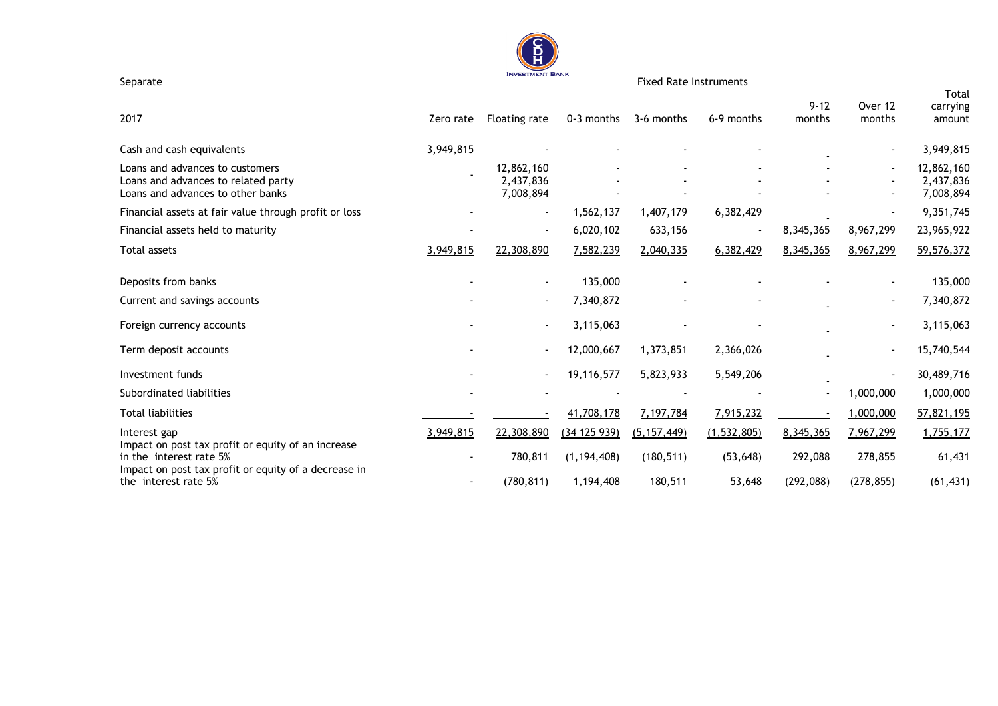

Separate Fixed Rate Instruments

|                                                                                                                                       |           |                                      |               |               |               |                    |                   | Total                                |
|---------------------------------------------------------------------------------------------------------------------------------------|-----------|--------------------------------------|---------------|---------------|---------------|--------------------|-------------------|--------------------------------------|
| 2017                                                                                                                                  | Zero rate | Floating rate                        | 0-3 months    | 3-6 months    | 6-9 months    | $9 - 12$<br>months | Over 12<br>months | carrying<br>amount                   |
| Cash and cash equivalents                                                                                                             | 3,949,815 |                                      |               |               |               |                    |                   | 3,949,815                            |
| Loans and advances to customers<br>Loans and advances to related party<br>Loans and advances to other banks                           |           | 12,862,160<br>2,437,836<br>7,008,894 |               |               |               |                    |                   | 12,862,160<br>2,437,836<br>7,008,894 |
| Financial assets at fair value through profit or loss                                                                                 |           | $\blacksquare$                       | 1,562,137     | 1,407,179     | 6,382,429     |                    |                   | 9,351,745                            |
| Financial assets held to maturity                                                                                                     |           |                                      | 6,020,102     | 633,156       |               | 8,345,365          | 8,967,299         | 23,965,922                           |
| Total assets                                                                                                                          | 3,949,815 | 22,308,890                           | 7,582,239     | 2,040,335     | 6,382,429     | 8,345,365          | 8,967,299         | 59,576,372                           |
| Deposits from banks                                                                                                                   |           | $\blacksquare$                       | 135,000       |               |               |                    |                   | 135,000                              |
| Current and savings accounts                                                                                                          |           | $\overline{\phantom{a}}$             | 7,340,872     |               |               |                    |                   | 7,340,872                            |
| Foreign currency accounts                                                                                                             |           | $\blacksquare$                       | 3,115,063     |               |               |                    |                   | 3,115,063                            |
| Term deposit accounts                                                                                                                 |           |                                      | 12,000,667    | 1,373,851     | 2,366,026     |                    |                   | 15,740,544                           |
| Investment funds                                                                                                                      |           | $\blacksquare$                       | 19,116,577    | 5,823,933     | 5,549,206     |                    |                   | 30,489,716                           |
| Subordinated liabilities                                                                                                              |           |                                      |               |               |               |                    | 1,000,000         | 1,000,000                            |
| <b>Total liabilities</b>                                                                                                              |           |                                      | 41,708,178    | 7,197,784     | 7,915,232     |                    | 1,000,000         | 57,821,195                           |
| Interest gap                                                                                                                          | 3,949,815 | 22,308,890                           | (34 125 939)  | (5, 157, 449) | (1, 532, 805) | 8,345,365          | 7,967,299         | 1,755,177                            |
| Impact on post tax profit or equity of an increase<br>in the interest rate 5%<br>Impact on post tax profit or equity of a decrease in |           | 780,811                              | (1, 194, 408) | (180, 511)    | (53, 648)     | 292,088            | 278,855           | 61,431                               |
| the interest rate 5%                                                                                                                  |           | (780, 811)                           | 1,194,408     | 180,511       | 53,648        | (292, 088)         | (278, 855)        | (61, 431)                            |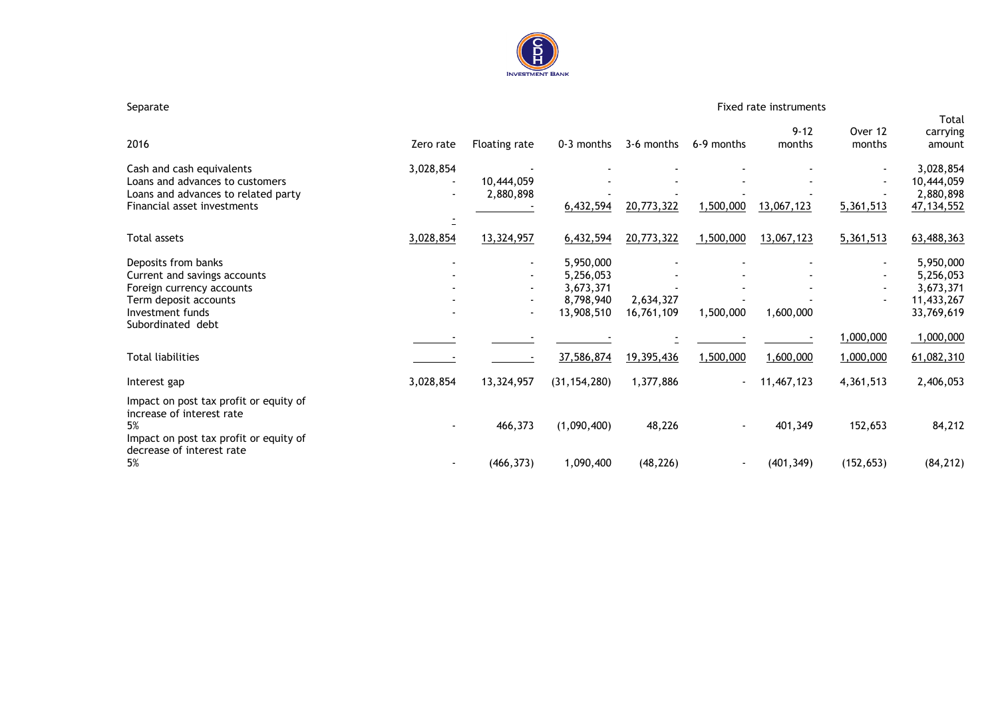

#### Separate Fixed rate instruments

Total

| 2016                                                                                                                                                                           | Zero rate                   | Floating rate                                                                  | 0-3 months                                                                   | 3-6 months                            | 6-9 months             | $9 - 12$<br>months     | Over 12<br>months                        | carrying<br>amount                                                                         |
|--------------------------------------------------------------------------------------------------------------------------------------------------------------------------------|-----------------------------|--------------------------------------------------------------------------------|------------------------------------------------------------------------------|---------------------------------------|------------------------|------------------------|------------------------------------------|--------------------------------------------------------------------------------------------|
| Cash and cash equivalents<br>Loans and advances to customers<br>Loans and advances to related party                                                                            | 3,028,854<br>$\blacksquare$ | 10,444,059<br>2,880,898                                                        |                                                                              |                                       |                        |                        |                                          | 3,028,854<br>10,444,059<br>2,880,898                                                       |
| Financial asset investments                                                                                                                                                    |                             |                                                                                | 6,432,594                                                                    | 20,773,322                            | 1,500,000              | 13,067,123             | 5,361,513                                | 47, 134, 552                                                                               |
| Total assets                                                                                                                                                                   | 3,028,854                   | 13,324,957                                                                     | 6,432,594                                                                    | 20,773,322                            | 1,500,000              | 13,067,123             | 5,361,513                                | 63,488,363                                                                                 |
| Deposits from banks<br>Current and savings accounts<br>Foreign currency accounts<br>Term deposit accounts<br>Investment funds<br>Subordinated debt<br><b>Total liabilities</b> |                             | $\blacksquare$<br>$\blacksquare$<br>$\overline{\phantom{0}}$<br>$\blacksquare$ | 5,950,000<br>5,256,053<br>3,673,371<br>8,798,940<br>13,908,510<br>37,586,874 | 2,634,327<br>16,761,109<br>19,395,436 | 1,500,000<br>1,500,000 | 1,600,000<br>1,600,000 | $\blacksquare$<br>1,000,000<br>1,000,000 | 5,950,000<br>5,256,053<br>3,673,371<br>11,433,267<br>33,769,619<br>1,000,000<br>61,082,310 |
| Interest gap                                                                                                                                                                   | 3,028,854                   | 13,324,957                                                                     | (31, 154, 280)                                                               | 1,377,886                             | $\blacksquare$         | 11,467,123             | 4,361,513                                | 2,406,053                                                                                  |
| Impact on post tax profit or equity of<br>increase of interest rate<br>5%<br>Impact on post tax profit or equity of<br>decrease of interest rate                               |                             | 466,373                                                                        | (1,090,400)                                                                  | 48,226                                |                        | 401,349                | 152,653                                  | 84,212                                                                                     |
| 5%                                                                                                                                                                             |                             | (466, 373)                                                                     | 1,090,400                                                                    | (48, 226)                             |                        | (401, 349)             | (152, 653)                               | (84, 212)                                                                                  |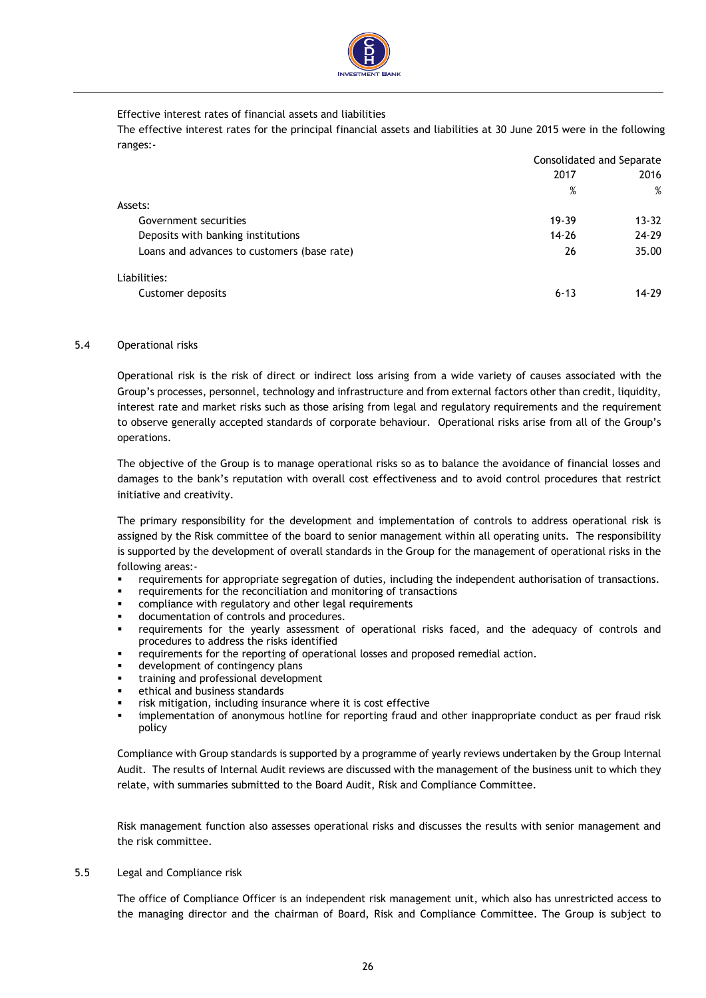

#### Effective interest rates of financial assets and liabilities

The effective interest rates for the principal financial assets and liabilities at 30 June 2015 were in the following ranges:-

|                                             | Consolidated and Separate |           |  |
|---------------------------------------------|---------------------------|-----------|--|
|                                             | 2017                      | 2016      |  |
|                                             | %                         | %         |  |
| Assets:                                     |                           |           |  |
| Government securities                       | 19-39                     | $13 - 32$ |  |
| Deposits with banking institutions          | $14 - 26$                 | 24-29     |  |
| Loans and advances to customers (base rate) | 26                        | 35.00     |  |
| Liabilities:                                |                           |           |  |
| Customer deposits                           | $6 - 13$                  | 14-29     |  |

#### 5.4 Operational risks

Operational risk is the risk of direct or indirect loss arising from a wide variety of causes associated with the Group's processes, personnel, technology and infrastructure and from external factors other than credit, liquidity, interest rate and market risks such as those arising from legal and regulatory requirements and the requirement to observe generally accepted standards of corporate behaviour. Operational risks arise from all of the Group's operations.

The objective of the Group is to manage operational risks so as to balance the avoidance of financial losses and damages to the bank's reputation with overall cost effectiveness and to avoid control procedures that restrict initiative and creativity.

The primary responsibility for the development and implementation of controls to address operational risk is assigned by the Risk committee of the board to senior management within all operating units. The responsibility is supported by the development of overall standards in the Group for the management of operational risks in the following areas:-

- requirements for appropriate segregation of duties, including the independent authorisation of transactions.
- requirements for the reconciliation and monitoring of transactions
- compliance with regulatory and other legal requirements
- documentation of controls and procedures.
- requirements for the yearly assessment of operational risks faced, and the adequacy of controls and procedures to address the risks identified
- requirements for the reporting of operational losses and proposed remedial action.
- development of contingency plans
- training and professional development
- ethical and business standards
- risk mitigation, including insurance where it is cost effective
- implementation of anonymous hotline for reporting fraud and other inappropriate conduct as per fraud risk policy

Compliance with Group standards is supported by a programme of yearly reviews undertaken by the Group Internal Audit. The results of Internal Audit reviews are discussed with the management of the business unit to which they relate, with summaries submitted to the Board Audit, Risk and Compliance Committee.

Risk management function also assesses operational risks and discusses the results with senior management and the risk committee.

5.5 Legal and Compliance risk

The office of Compliance Officer is an independent risk management unit, which also has unrestricted access to the managing director and the chairman of Board, Risk and Compliance Committee. The Group is subject to